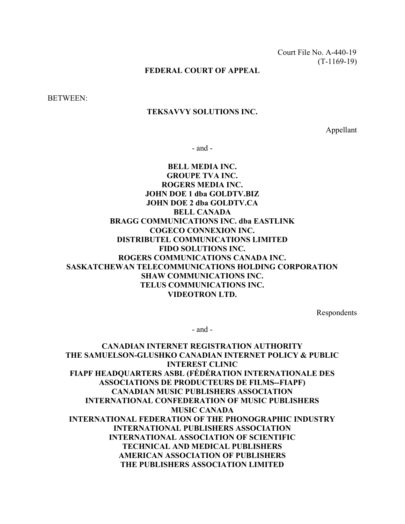Court File No. A-440-19 (T-1169-19)

### FEDERAL COURT OF APPEAL

BETWEEN:

#### TEKSAVVY SOLUTIONS INC.

Appellant

- and -

# BELL MEDIA INC. GROUPE TVA INC. ROGERS MEDIA INC. JOHN DOE 1 dba GOLDTV.BIZ JOHN DOE 2 dba GOLDTV.CA BELL CANADA BRAGG COMMUNICATIONS INC. dba EASTLINK COGECO CONNEXION INC. DISTRIBUTEL COMMUNICATIONS LIMITED FIDO SOLUTIONS INC. ROGERS COMMUNICATIONS CANADA INC. SASKATCHEWAN TELECOMMUNICATIONS HOLDING CORPORATION SHAW COMMUNICATIONS INC. TELUS COMMUNICATIONS INC. VIDEOTRON LTD.

Respondents

- and -

CANADIAN INTERNET REGISTRATION AUTHORITY THE SAMUELSON-GLUSHKO CANADIAN INTERNET POLICY & PUBLIC INTEREST CLINIC FIAPF HEADQUARTERS ASBL (FÉDÉRATION INTERNATIONALE DES ASSOCIATIONS DE PRODUCTEURS DE FILMS--FIAPF) CANADIAN MUSIC PUBLISHERS ASSOCIATION INTERNATIONAL CONFEDERATION OF MUSIC PUBLISHERS MUSIC CANADA INTERNATIONAL FEDERATION OF THE PHONOGRAPHIC INDUSTRY INTERNATIONAL PUBLISHERS ASSOCIATION INTERNATIONAL ASSOCIATION OF SCIENTIFIC TECHNICAL AND MEDICAL PUBLISHERS AMERICAN ASSOCIATION OF PUBLISHERS THE PUBLISHERS ASSOCIATION LIMITED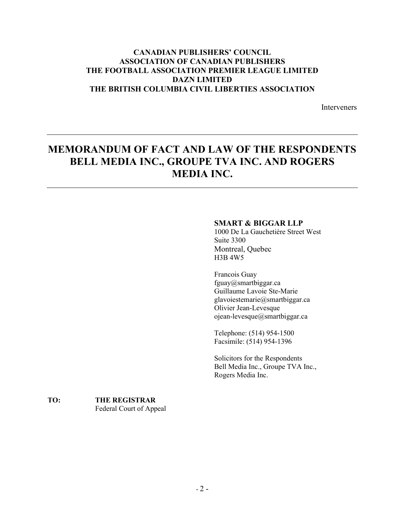# CANADIAN PUBLISHERS' COUNCIL ASSOCIATION OF CANADIAN PUBLISHERS THE FOOTBALL ASSOCIATION PREMIER LEAGUE LIMITED DAZN LIMITED THE BRITISH COLUMBIA CIVIL LIBERTIES ASSOCIATION

**Interveners** 

# MEMORANDUM OF FACT AND LAW OF THE RESPONDENTS BELL MEDIA INC., GROUPE TVA INC. AND ROGERS MEDIA INC.

### SMART & BIGGAR LLP

1000 De La Gauchetière Street West Suite 3300 Montreal, Quebec H3B 4W5

Francois Guay fguay@smartbiggar.ca Guillaume Lavoie Ste-Marie glavoiestemarie@smartbiggar.ca Olivier Jean-Levesque ojean-levesque@smartbiggar.ca

Telephone: (514) 954-1500 Facsimile: (514) 954-1396

Solicitors for the Respondents Bell Media Inc., Groupe TVA Inc., Rogers Media Inc.

### TO: THE REGISTRAR Federal Court of Appeal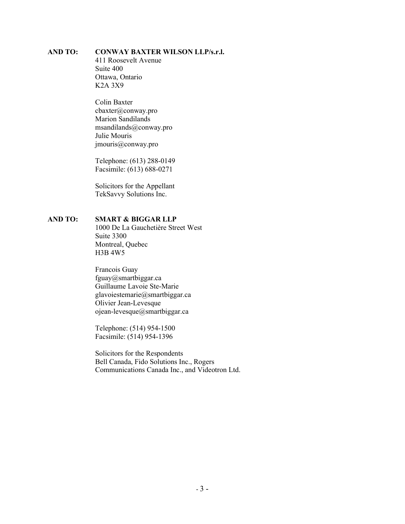### AND TO: CONWAY BAXTER WILSON LLP/s.r.l.

 411 Roosevelt Avenue Suite 400 Ottawa, Ontario K2A 3X9

Colin Baxter cbaxter@conway.pro Marion Sandilands msandilands@conway.pro Julie Mouris jmouris@conway.pro

 Telephone: (613) 288-0149 Facsimile: (613) 688-0271

 Solicitors for the Appellant TekSavvy Solutions Inc.

### AND TO: SMART & BIGGAR LLP

 1000 De La Gauchetière Street West Suite 3300 Montreal, Quebec H3B 4W5

 Francois Guay fguay@smartbiggar.ca Guillaume Lavoie Ste-Marie glavoiestemarie@smartbiggar.ca Olivier Jean-Levesque ojean-levesque@smartbiggar.ca

 Telephone: (514) 954-1500 Facsimile: (514) 954-1396

 Solicitors for the Respondents Bell Canada, Fido Solutions Inc., Rogers Communications Canada Inc., and Videotron Ltd.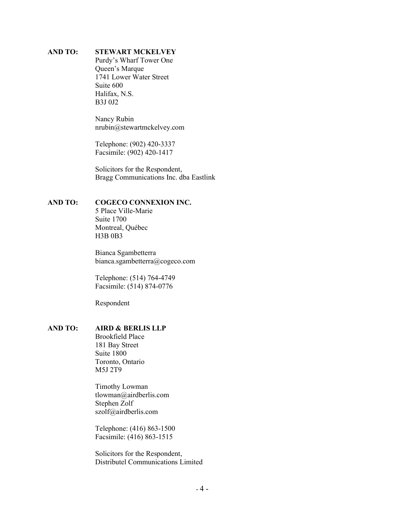### AND TO: STEWART MCKELVEY

 Purdy's Wharf Tower One Queen's Marque 1741 Lower Water Street Suite 600 Halifax, N.S. B3J 0J2

 Nancy Rubin nrubin@stewartmckelvey.com

 Telephone: (902) 420-3337 Facsimile: (902) 420-1417

 Solicitors for the Respondent, Bragg Communications Inc. dba Eastlink

#### AND TO: COGECO CONNEXION INC.

 5 Place Ville-Marie Suite 1700 Montreal, Québec H3B 0B3

 Bianca Sgambetterra bianca.sgambetterra@cogeco.com

 Telephone: (514) 764-4749 Facsimile: (514) 874-0776

Respondent

### AND TO: AIRD & BERLIS LLP

 Brookfield Place 181 Bay Street Suite 1800 Toronto, Ontario M5J 2T9

 Timothy Lowman tlowman@airdberlis.com Stephen Zolf szolf@airdberlis.com

 Telephone: (416) 863-1500 Facsimile: (416) 863-1515

 Solicitors for the Respondent, Distributel Communications Limited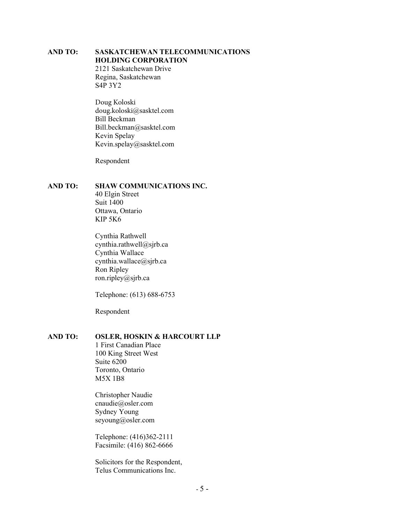# AND TO: SASKATCHEWAN TELECOMMUNICATIONS HOLDING CORPORATION

2121 Saskatchewan Drive Regina, Saskatchewan S4P 3Y2

Doug Koloski doug.koloski@sasktel.com Bill Beckman Bill.beckman@sasktel.com Kevin Spelay Kevin.spelay@sasktel.com

Respondent

### AND TO: SHAW COMMUNICATIONS INC.

40 Elgin Street Suit 1400 Ottawa, Ontario KIP 5K6

Cynthia Rathwell cynthia.rathwell@sjrb.ca Cynthia Wallace cynthia.wallace@sjrb.ca Ron Ripley ron.ripley@sjrb.ca

Telephone: (613) 688-6753

Respondent

## AND TO: OSLER, HOSKIN & HARCOURT LLP

1 First Canadian Place 100 King Street West Suite 6200 Toronto, Ontario M5X 1B8

Christopher Naudie cnaudie@osler.com Sydney Young seyoung@osler.com

Telephone: (416)362-2111 Facsimile: (416) 862-6666

Solicitors for the Respondent, Telus Communications Inc.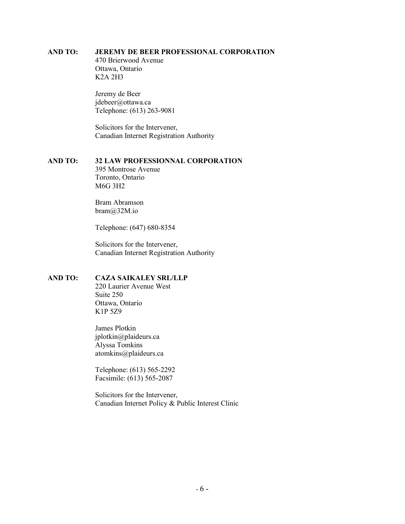### AND TO: JEREMY DE BEER PROFESSIONAL CORPORATION

 470 Brierwood Avenue Ottawa, Ontario K2A 2H3

 Jeremy de Beer jdebeer@ottawa.ca Telephone: (613) 263-9081

 Solicitors for the Intervener, Canadian Internet Registration Authority

### AND TO: 32 LAW PROFESSIONNAL CORPORATION

 395 Montrose Avenue Toronto, Ontario M6G 3H2

 Bram Abramson bram@32M.io

Telephone: (647) 680-8354

 Solicitors for the Intervener, Canadian Internet Registration Authority

### AND TO: CAZA SAIKALEY SRL/LLP

 220 Laurier Avenue West Suite 250 Ottawa, Ontario K1P 5Z9

 James Plotkin jplotkin@plaideurs.ca Alyssa Tomkins atomkins@plaideurs.ca

 Telephone: (613) 565-2292 Facsimile: (613) 565-2087

 Solicitors for the Intervener, Canadian Internet Policy & Public Interest Clinic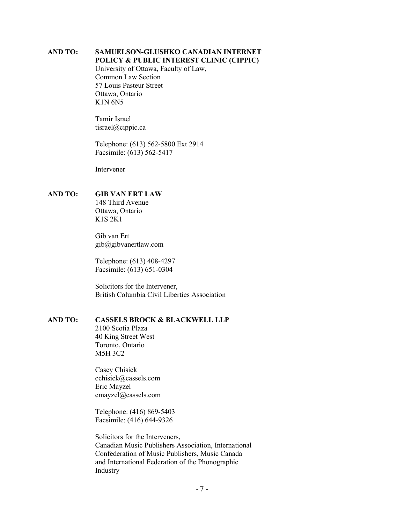#### AND TO: SAMUELSON-GLUSHKO CANADIAN INTERNET POLICY & PUBLIC INTEREST CLINIC (CIPPIC)

 University of Ottawa, Faculty of Law, Common Law Section 57 Louis Pasteur Street Ottawa, Ontario K1N 6N5

 Tamir Israel tisrael@cippic.ca

 Telephone: (613) 562-5800 Ext 2914 Facsimile: (613) 562-5417

Intervener

### AND TO: GIB VAN ERT LAW

 148 Third Avenue Ottawa, Ontario K1S 2K1

 Gib van Ert gib@gibvanertlaw.com

 Telephone: (613) 408-4297 Facsimile: (613) 651-0304

 Solicitors for the Intervener, British Columbia Civil Liberties Association

### AND TO: CASSELS BROCK & BLACKWELL LLP

 2100 Scotia Plaza 40 King Street West Toronto, Ontario M5H 3C2

 Casey Chisick cchisick@cassels.com Eric Mayzel emayzel@cassels.com

 Telephone: (416) 869-5403 Facsimile: (416) 644-9326

 Solicitors for the Interveners, Canadian Music Publishers Association, International Confederation of Music Publishers, Music Canada and International Federation of the Phonographic Industry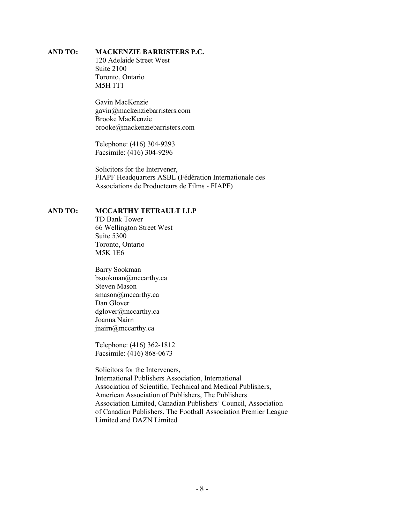### AND TO: MACKENZIE BARRISTERS P.C.

 120 Adelaide Street West Suite 2100 Toronto, Ontario M5H 1T1

 Gavin MacKenzie gavin@mackenziebarristers.com Brooke MacKenzie brooke@mackenziebarristers.com

 Telephone: (416) 304-9293 Facsimile: (416) 304-9296

 Solicitors for the Intervener, FIAPF Headquarters ASBL (Fédération Internationale des Associations de Producteurs de Films - FIAPF)

#### AND TO: MCCARTHY TETRAULT LLP

 TD Bank Tower 66 Wellington Street West Suite 5300 Toronto, Ontario M5K 1E6

 Barry Sookman bsookman@mccarthy.ca Steven Mason smason@mccarthy.ca Dan Glover dglover@mccarthy.ca Joanna Nairn jnairn@mccarthy.ca

 Telephone: (416) 362-1812 Facsimile: (416) 868-0673

 Solicitors for the Interveners, International Publishers Association, International Association of Scientific, Technical and Medical Publishers, American Association of Publishers, The Publishers Association Limited, Canadian Publishers' Council, Association of Canadian Publishers, The Football Association Premier League Limited and DAZN Limited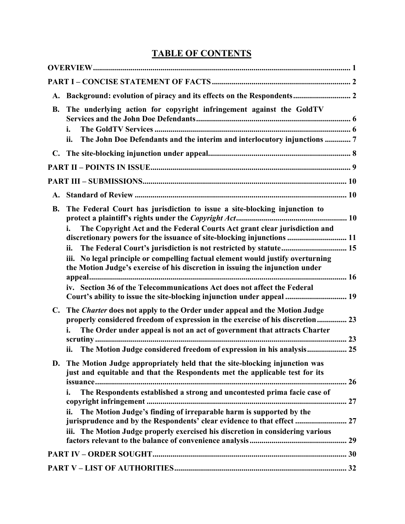# TABLE OF CONTENTS

| <b>A.</b>      | Background: evolution of piracy and its effects on the Respondents 2                                                                                                                                                                                                                                                                                                                                                                                                                          |
|----------------|-----------------------------------------------------------------------------------------------------------------------------------------------------------------------------------------------------------------------------------------------------------------------------------------------------------------------------------------------------------------------------------------------------------------------------------------------------------------------------------------------|
| <b>B.</b>      | The underlying action for copyright infringement against the GoldTV<br>i.<br>The John Doe Defendants and the interim and interlocutory injunctions  7<br>ii.                                                                                                                                                                                                                                                                                                                                  |
| $\mathbf{C}$ . |                                                                                                                                                                                                                                                                                                                                                                                                                                                                                               |
|                |                                                                                                                                                                                                                                                                                                                                                                                                                                                                                               |
|                |                                                                                                                                                                                                                                                                                                                                                                                                                                                                                               |
| A.             |                                                                                                                                                                                                                                                                                                                                                                                                                                                                                               |
| <b>B.</b>      | The Federal Court has jurisdiction to issue a site-blocking injunction to<br>The Copyright Act and the Federal Courts Act grant clear jurisdiction and<br>i.<br>discretionary powers for the issuance of site-blocking injunctions  11<br>ii.<br>iii. No legal principle or compelling factual element would justify overturning<br>the Motion Judge's exercise of his discretion in issuing the injunction under<br>iv. Section 36 of the Telecommunications Act does not affect the Federal |
|                | Court's ability to issue the site-blocking injunction under appeal  19                                                                                                                                                                                                                                                                                                                                                                                                                        |
| $\mathbf{C}$ . | The <i>Charter</i> does not apply to the Order under appeal and the Motion Judge<br>properly considered freedom of expression in the exercise of his discretion 23<br>The Order under appeal is not an act of government that attracts Charter<br>The Motion Judge considered freedom of expression in his analysis 25<br>ii.                                                                                                                                                                 |
| D.             | The Motion Judge appropriately held that the site-blocking injunction was<br>just and equitable and that the Respondents met the applicable test for its<br>The Respondents established a strong and uncontested prima facie case of<br>i.<br>The Motion Judge's finding of irreparable harm is supported by the<br>ii.<br>jurisprudence and by the Respondents' clear evidence to that effect  27<br>iii. The Motion Judge properly exercised his discretion in considering various          |
|                |                                                                                                                                                                                                                                                                                                                                                                                                                                                                                               |
|                |                                                                                                                                                                                                                                                                                                                                                                                                                                                                                               |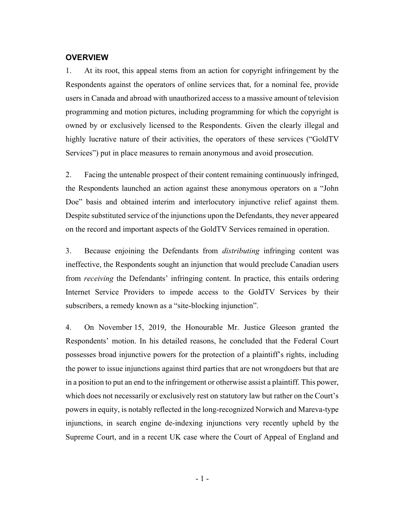#### **OVERVIEW**

1. At its root, this appeal stems from an action for copyright infringement by the Respondents against the operators of online services that, for a nominal fee, provide users in Canada and abroad with unauthorized access to a massive amount of television programming and motion pictures, including programming for which the copyright is owned by or exclusively licensed to the Respondents. Given the clearly illegal and highly lucrative nature of their activities, the operators of these services ("GoldTV Services") put in place measures to remain anonymous and avoid prosecution.

2. Facing the untenable prospect of their content remaining continuously infringed, the Respondents launched an action against these anonymous operators on a "John Doe" basis and obtained interim and interlocutory injunctive relief against them. Despite substituted service of the injunctions upon the Defendants, they never appeared on the record and important aspects of the GoldTV Services remained in operation.

3. Because enjoining the Defendants from distributing infringing content was ineffective, the Respondents sought an injunction that would preclude Canadian users from receiving the Defendants' infringing content. In practice, this entails ordering Internet Service Providers to impede access to the GoldTV Services by their subscribers, a remedy known as a "site-blocking injunction".

4. On November 15, 2019, the Honourable Mr. Justice Gleeson granted the Respondents' motion. In his detailed reasons, he concluded that the Federal Court possesses broad injunctive powers for the protection of a plaintiff's rights, including the power to issue injunctions against third parties that are not wrongdoers but that are in a position to put an end to the infringement or otherwise assist a plaintiff. This power, which does not necessarily or exclusively rest on statutory law but rather on the Court's powers in equity, is notably reflected in the long-recognized Norwich and Mareva-type injunctions, in search engine de-indexing injunctions very recently upheld by the Supreme Court, and in a recent UK case where the Court of Appeal of England and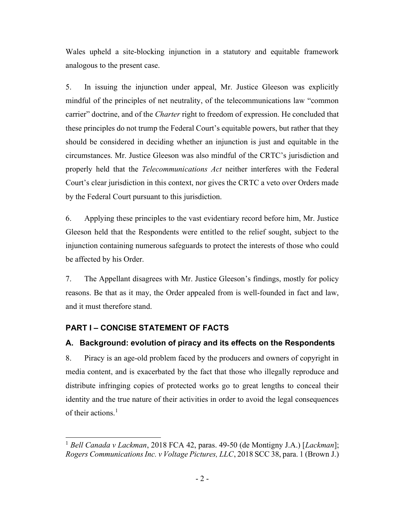Wales upheld a site-blocking injunction in a statutory and equitable framework analogous to the present case.

5. In issuing the injunction under appeal, Mr. Justice Gleeson was explicitly mindful of the principles of net neutrality, of the telecommunications law "common carrier" doctrine, and of the Charter right to freedom of expression. He concluded that these principles do not trump the Federal Court's equitable powers, but rather that they should be considered in deciding whether an injunction is just and equitable in the circumstances. Mr. Justice Gleeson was also mindful of the CRTC's jurisdiction and properly held that the Telecommunications Act neither interferes with the Federal Court's clear jurisdiction in this context, nor gives the CRTC a veto over Orders made by the Federal Court pursuant to this jurisdiction.

6. Applying these principles to the vast evidentiary record before him, Mr. Justice Gleeson held that the Respondents were entitled to the relief sought, subject to the injunction containing numerous safeguards to protect the interests of those who could be affected by his Order.

7. The Appellant disagrees with Mr. Justice Gleeson's findings, mostly for policy reasons. Be that as it may, the Order appealed from is well-founded in fact and law, and it must therefore stand.

# PART I – CONCISE STATEMENT OF FACTS

# A. Background: evolution of piracy and its effects on the Respondents

8. Piracy is an age-old problem faced by the producers and owners of copyright in media content, and is exacerbated by the fact that those who illegally reproduce and distribute infringing copies of protected works go to great lengths to conceal their identity and the true nature of their activities in order to avoid the legal consequences of their actions.<sup>1</sup>

<sup>&</sup>lt;sup>1</sup> Bell Canada v Lackman, 2018 FCA 42, paras. 49-50 (de Montigny J.A.) [Lackman]; Rogers Communications Inc. v Voltage Pictures, LLC, 2018 SCC 38, para. 1 (Brown J.)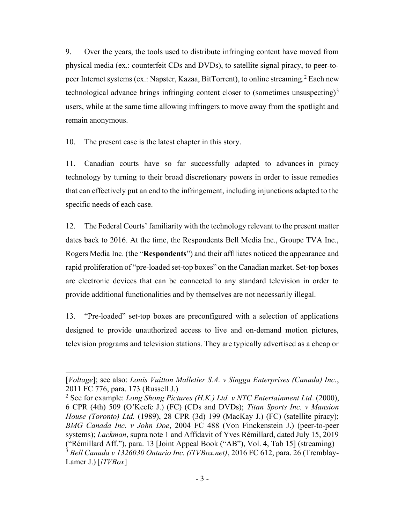9. Over the years, the tools used to distribute infringing content have moved from physical media (ex.: counterfeit CDs and DVDs), to satellite signal piracy, to peer-topeer Internet systems (ex.: Napster, Kazaa, BitTorrent), to online streaming.<sup>2</sup> Each new technological advance brings infringing content closer to (sometimes unsuspecting) $3$ users, while at the same time allowing infringers to move away from the spotlight and remain anonymous.

10. The present case is the latest chapter in this story.

11. Canadian courts have so far successfully adapted to advances in piracy technology by turning to their broad discretionary powers in order to issue remedies that can effectively put an end to the infringement, including injunctions adapted to the specific needs of each case.

12. The Federal Courts' familiarity with the technology relevant to the present matter dates back to 2016. At the time, the Respondents Bell Media Inc., Groupe TVA Inc., Rogers Media Inc. (the "Respondents") and their affiliates noticed the appearance and rapid proliferation of "pre-loaded set-top boxes" on the Canadian market. Set-top boxes are electronic devices that can be connected to any standard television in order to provide additional functionalities and by themselves are not necessarily illegal.

13. "Pre-loaded" set-top boxes are preconfigured with a selection of applications designed to provide unauthorized access to live and on-demand motion pictures, television programs and television stations. They are typically advertised as a cheap or

<sup>[</sup>Voltage]; see also: Louis Vuitton Malletier S.A. v Singga Enterprises (Canada) Inc., 2011 FC 776, para. 173 (Russell J.)

<sup>&</sup>lt;sup>2</sup> See for example: *Long Shong Pictures (H.K.) Ltd. v NTC Entertainment Ltd.* (2000), 6 CPR (4th) 509 (O'Keefe J.) (FC) (CDs and DVDs); Titan Sports Inc. v Mansion House (Toronto) Ltd. (1989), 28 CPR (3d) 199 (MacKay J.) (FC) (satellite piracy); BMG Canada Inc. v John Doe, 2004 FC 488 (Von Finckenstein J.) (peer-to-peer systems); Lackman, supra note 1 and Affidavit of Yves Rémillard, dated July 15, 2019 ("Rémillard Aff."), para. 13 [Joint Appeal Book ("AB"), Vol. 4, Tab 15] (streaming) <sup>3</sup> Bell Canada v 1326030 Ontario Inc. (iTVBox.net), 2016 FC 612, para. 26 (Tremblay-Lamer J.)  $[iTVBox]$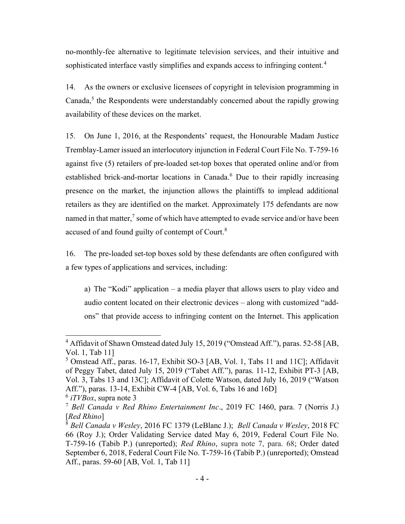no-monthly-fee alternative to legitimate television services, and their intuitive and sophisticated interface vastly simplifies and expands access to infringing content.<sup>4</sup>

14. As the owners or exclusive licensees of copyright in television programming in Canada,<sup>5</sup> the Respondents were understandably concerned about the rapidly growing availability of these devices on the market.

15. On June 1, 2016, at the Respondents' request, the Honourable Madam Justice Tremblay-Lamer issued an interlocutory injunction in Federal Court File No. T-759-16 against five (5) retailers of pre-loaded set-top boxes that operated online and/or from established brick-and-mortar locations in Canada.<sup>6</sup> Due to their rapidly increasing presence on the market, the injunction allows the plaintiffs to implead additional retailers as they are identified on the market. Approximately 175 defendants are now named in that matter,<sup>7</sup> some of which have attempted to evade service and/or have been accused of and found guilty of contempt of Court.<sup>8</sup>

16. The pre-loaded set-top boxes sold by these defendants are often configured with a few types of applications and services, including:

a) The "Kodi" application – a media player that allows users to play video and audio content located on their electronic devices – along with customized "addons" that provide access to infringing content on the Internet. This application

<sup>&</sup>lt;sup>4</sup> Affidavit of Shawn Omstead dated July 15, 2019 ("Omstead Aff."), paras. 52-58 [AB, Vol. 1, Tab 11]

<sup>&</sup>lt;sup>5</sup> Omstead Aff., paras. 16-17, Exhibit SO-3 [AB, Vol. 1, Tabs 11 and 11C]; Affidavit of Peggy Tabet, dated July 15, 2019 ("Tabet Aff."), paras. 11-12, Exhibit PT-3 [AB, Vol. 3, Tabs 13 and 13C]; Affidavit of Colette Watson, dated July 16, 2019 ("Watson Aff."), paras. 13-14, Exhibit CW-4 [AB, Vol. 6, Tabs 16 and 16D]

 $6$  *iTVBox*, supra note 3

<sup>&</sup>lt;sup>7</sup> Bell Canada v Red Rhino Entertainment Inc., 2019 FC 1460, para. 7 (Norris J.) [Red Rhino]

 $8$  Bell Canada v Wesley, 2016 FC 1379 (LeBlanc J.); Bell Canada v Wesley, 2018 FC 66 (Roy J.); Order Validating Service dated May 6, 2019, Federal Court File No. T-759-16 (Tabib P.) (unreported); Red Rhino, supra note 7, para. 68; Order dated September 6, 2018, Federal Court File No. T-759-16 (Tabib P.) (unreported); Omstead Aff., paras. 59-60 [AB, Vol. 1, Tab 11]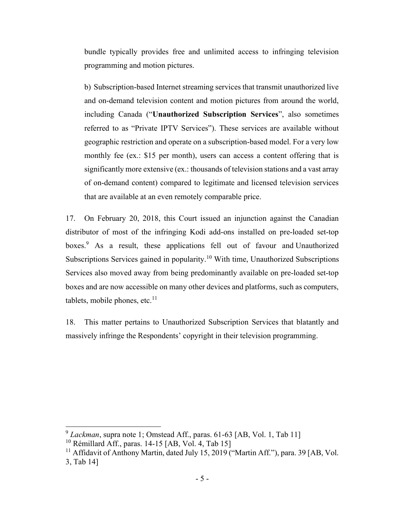bundle typically provides free and unlimited access to infringing television programming and motion pictures.

b) Subscription-based Internet streaming services that transmit unauthorized live and on-demand television content and motion pictures from around the world, including Canada ("Unauthorized Subscription Services", also sometimes referred to as "Private IPTV Services"). These services are available without geographic restriction and operate on a subscription-based model. For a very low monthly fee (ex.: \$15 per month), users can access a content offering that is significantly more extensive (ex.: thousands of television stations and a vast array of on-demand content) compared to legitimate and licensed television services that are available at an even remotely comparable price.

17. On February 20, 2018, this Court issued an injunction against the Canadian distributor of most of the infringing Kodi add-ons installed on pre-loaded set-top boxes.<sup>9</sup> As a result, these applications fell out of favour and Unauthorized Subscriptions Services gained in popularity.<sup>10</sup> With time, Unauthorized Subscriptions Services also moved away from being predominantly available on pre-loaded set-top boxes and are now accessible on many other devices and platforms, such as computers, tablets, mobile phones, etc.<sup>11</sup>

18. This matter pertains to Unauthorized Subscription Services that blatantly and massively infringe the Respondents' copyright in their television programming.

<sup>9</sup> Lackman, supra note 1; Omstead Aff., paras. 61-63 [AB, Vol. 1, Tab 11]

 $10$  Rémillard Aff., paras. 14-15 [AB, Vol. 4, Tab 15]

<sup>&</sup>lt;sup>11</sup> Affidavit of Anthony Martin, dated July 15, 2019 ("Martin Aff."), para. 39 [AB, Vol. 3, Tab 14]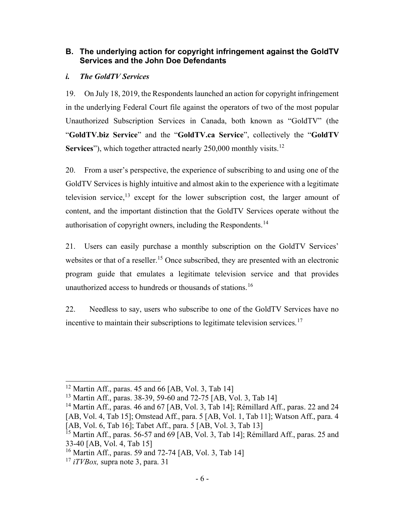# B. The underlying action for copyright infringement against the GoldTV Services and the John Doe Defendants

### i. The GoldTV Services

19. On July 18, 2019, the Respondents launched an action for copyright infringement in the underlying Federal Court file against the operators of two of the most popular Unauthorized Subscription Services in Canada, both known as "GoldTV" (the "GoldTV.biz Service" and the "GoldTV.ca Service", collectively the "GoldTV Services"), which together attracted nearly 250,000 monthly visits.<sup>12</sup>

20. From a user's perspective, the experience of subscribing to and using one of the GoldTV Services is highly intuitive and almost akin to the experience with a legitimate television service, $13$  except for the lower subscription cost, the larger amount of content, and the important distinction that the GoldTV Services operate without the authorisation of copyright owners, including the Respondents.<sup>14</sup>

21. Users can easily purchase a monthly subscription on the GoldTV Services' websites or that of a reseller.<sup>15</sup> Once subscribed, they are presented with an electronic program guide that emulates a legitimate television service and that provides unauthorized access to hundreds or thousands of stations.<sup>16</sup>

22. Needless to say, users who subscribe to one of the GoldTV Services have no incentive to maintain their subscriptions to legitimate television services.<sup>17</sup>

 $12$  Martin Aff., paras. 45 and 66 [AB, Vol. 3, Tab 14]

<sup>13</sup> Martin Aff., paras. 38-39, 59-60 and 72-75 [AB, Vol. 3, Tab 14]

<sup>&</sup>lt;sup>14</sup> Martin Aff., paras. 46 and 67 [AB, Vol. 3, Tab 14]; Rémillard Aff., paras. 22 and 24 [AB, Vol. 4, Tab 15]; Omstead Aff., para. 5 [AB, Vol. 1, Tab 11]; Watson Aff., para. 4 [AB, Vol. 6, Tab 16]; Tabet Aff., para. 5 [AB, Vol. 3, Tab 13]

<sup>&</sup>lt;sup>15</sup> Martin Aff., paras. 56-57 and 69 [AB, Vol. 3, Tab 14]; Rémillard Aff., paras. 25 and 33-40 [AB, Vol. 4, Tab 15]

<sup>16</sup> Martin Aff., paras. 59 and 72-74 [AB, Vol. 3, Tab 14]

 $17$  *iTVBox*, supra note 3, para. 31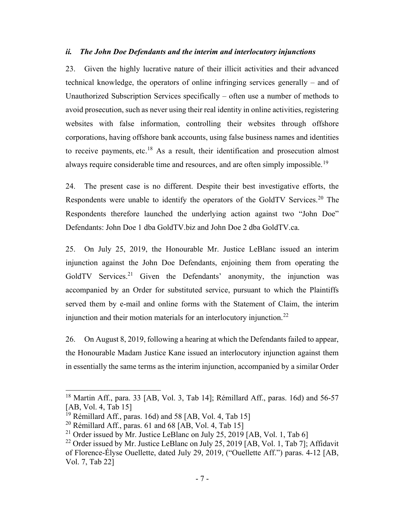#### ii. The John Doe Defendants and the interim and interlocutory injunctions

23. Given the highly lucrative nature of their illicit activities and their advanced technical knowledge, the operators of online infringing services generally – and of Unauthorized Subscription Services specifically – often use a number of methods to avoid prosecution, such as never using their real identity in online activities, registering websites with false information, controlling their websites through offshore corporations, having offshore bank accounts, using false business names and identities to receive payments, etc.<sup>18</sup> As a result, their identification and prosecution almost always require considerable time and resources, and are often simply impossible.<sup>19</sup>

24. The present case is no different. Despite their best investigative efforts, the Respondents were unable to identify the operators of the GoldTV Services.<sup>20</sup> The Respondents therefore launched the underlying action against two "John Doe" Defendants: John Doe 1 dba GoldTV.biz and John Doe 2 dba GoldTV.ca.

25. On July 25, 2019, the Honourable Mr. Justice LeBlanc issued an interim injunction against the John Doe Defendants, enjoining them from operating the GoldTV Services.<sup>21</sup> Given the Defendants' anonymity, the injunction was accompanied by an Order for substituted service, pursuant to which the Plaintiffs served them by e-mail and online forms with the Statement of Claim, the interim injunction and their motion materials for an interlocutory injunction.<sup>22</sup>

26. On August 8, 2019, following a hearing at which the Defendants failed to appear, the Honourable Madam Justice Kane issued an interlocutory injunction against them in essentially the same terms as the interim injunction, accompanied by a similar Order

<sup>&</sup>lt;sup>18</sup> Martin Aff., para. 33 [AB, Vol. 3, Tab 14]; Rémillard Aff., paras. 16d) and 56-57 [AB, Vol. 4, Tab 15]

<sup>&</sup>lt;sup>19</sup> Rémillard Aff., paras. 16d) and 58 [AB, Vol. 4, Tab 15]

<sup>&</sup>lt;sup>20</sup> Rémillard Aff., paras. 61 and 68 [AB, Vol. 4, Tab 15]

<sup>&</sup>lt;sup>21</sup> Order issued by Mr. Justice LeBlanc on July 25, 2019 [AB, Vol. 1, Tab 6]

<sup>&</sup>lt;sup>22</sup> Order issued by Mr. Justice LeBlanc on July 25, 2019 [AB, Vol. 1, Tab 7]; Affidavit of Florence-Élyse Ouellette, dated July 29, 2019, ("Ouellette Aff.") paras. 4-12 [AB, Vol. 7, Tab 22]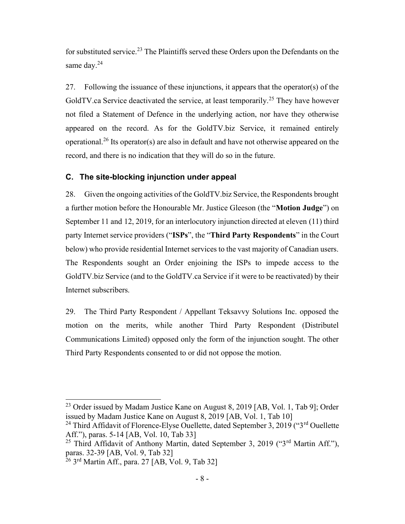for substituted service.<sup>23</sup> The Plaintiffs served these Orders upon the Defendants on the same day.<sup>24</sup>

27. Following the issuance of these injunctions, it appears that the operator(s) of the GoldTV.ca Service deactivated the service, at least temporarily.<sup>25</sup> They have however not filed a Statement of Defence in the underlying action, nor have they otherwise appeared on the record. As for the GoldTV.biz Service, it remained entirely operational.<sup>26</sup> Its operator(s) are also in default and have not otherwise appeared on the record, and there is no indication that they will do so in the future.

### C. The site-blocking injunction under appeal

28. Given the ongoing activities of the GoldTV.biz Service, the Respondents brought a further motion before the Honourable Mr. Justice Gleeson (the "Motion Judge") on September 11 and 12, 2019, for an interlocutory injunction directed at eleven (11) third party Internet service providers ("ISPs", the "Third Party Respondents" in the Court below) who provide residential Internet services to the vast majority of Canadian users. The Respondents sought an Order enjoining the ISPs to impede access to the GoldTV.biz Service (and to the GoldTV.ca Service if it were to be reactivated) by their Internet subscribers.

29. The Third Party Respondent / Appellant Teksavvy Solutions Inc. opposed the motion on the merits, while another Third Party Respondent (Distributel Communications Limited) opposed only the form of the injunction sought. The other Third Party Respondents consented to or did not oppose the motion.

<sup>&</sup>lt;sup>23</sup> Order issued by Madam Justice Kane on August 8, 2019 [AB, Vol. 1, Tab 9]; Order issued by Madam Justice Kane on August 8, 2019 [AB, Vol. 1, Tab 10]

<sup>&</sup>lt;sup>24</sup> Third Affidavit of Florence-Elyse Ouellette, dated September 3, 2019 (" $3<sup>rd</sup>$  Ouellette Aff."), paras. 5-14 [AB, Vol. 10, Tab 33]

<sup>&</sup>lt;sup>25</sup> Third Affidavit of Anthony Martin, dated September 3, 2019 ("3<sup>rd</sup> Martin Aff."), paras. 32-39 [AB, Vol. 9, Tab 32]

 $^{26}$  3<sup>rd</sup> Martin Aff., para. 27 [AB, Vol. 9, Tab 32]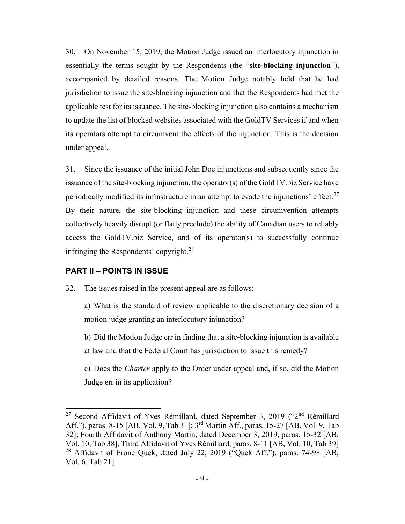30. On November 15, 2019, the Motion Judge issued an interlocutory injunction in essentially the terms sought by the Respondents (the "site-blocking injunction"), accompanied by detailed reasons. The Motion Judge notably held that he had jurisdiction to issue the site-blocking injunction and that the Respondents had met the applicable test for its issuance. The site-blocking injunction also contains a mechanism to update the list of blocked websites associated with the GoldTV Services if and when its operators attempt to circumvent the effects of the injunction. This is the decision under appeal.

31. Since the issuance of the initial John Doe injunctions and subsequently since the issuance of the site-blocking injunction, the operator(s) of the GoldTV.biz Service have periodically modified its infrastructure in an attempt to evade the injunctions' effect.<sup>27</sup> By their nature, the site-blocking injunction and these circumvention attempts collectively heavily disrupt (or flatly preclude) the ability of Canadian users to reliably access the GoldTV.biz Service, and of its operator(s) to successfully continue infringing the Respondents' copyright.<sup>28</sup>

### PART II – POINTS IN ISSUE

32. The issues raised in the present appeal are as follows:

a) What is the standard of review applicable to the discretionary decision of a motion judge granting an interlocutory injunction?

b) Did the Motion Judge err in finding that a site-blocking injunction is available at law and that the Federal Court has jurisdiction to issue this remedy?

c) Does the Charter apply to the Order under appeal and, if so, did the Motion Judge err in its application?

<sup>&</sup>lt;sup>27</sup> Second Affidavit of Yves Rémillard, dated September 3, 2019 ("2<sup>nd</sup> Rémillard Aff."), paras. 8-15 [AB, Vol. 9, Tab 31]; 3rd Martin Aff., paras. 15-27 [AB, Vol. 9, Tab 32]; Fourth Affidavit of Anthony Martin, dated December 3, 2019, paras. 15-32 [AB, Vol. 10, Tab 38], Third Affidavit of Yves Rémillard, paras. 8-11 [AB, Vol. 10, Tab 39]  $28$  Affidavit of Erone Quek, dated July 22, 2019 ("Quek Aff."), paras. 74-98 [AB, Vol. 6, Tab 21]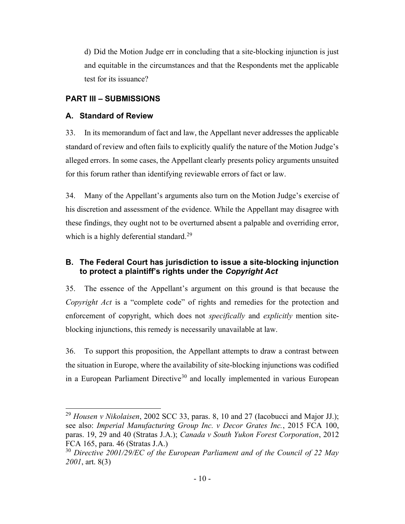d) Did the Motion Judge err in concluding that a site-blocking injunction is just and equitable in the circumstances and that the Respondents met the applicable test for its issuance?

# PART III – SUBMISSIONS

# A. Standard of Review

33. In its memorandum of fact and law, the Appellant never addresses the applicable standard of review and often fails to explicitly qualify the nature of the Motion Judge's alleged errors. In some cases, the Appellant clearly presents policy arguments unsuited for this forum rather than identifying reviewable errors of fact or law.

34. Many of the Appellant's arguments also turn on the Motion Judge's exercise of his discretion and assessment of the evidence. While the Appellant may disagree with these findings, they ought not to be overturned absent a palpable and overriding error, which is a highly deferential standard.<sup>29</sup>

# B. The Federal Court has jurisdiction to issue a site-blocking injunction to protect a plaintiff's rights under the Copyright Act

35. The essence of the Appellant's argument on this ground is that because the Copyright Act is a "complete code" of rights and remedies for the protection and enforcement of copyright, which does not *specifically* and *explicitly* mention siteblocking injunctions, this remedy is necessarily unavailable at law.

36. To support this proposition, the Appellant attempts to draw a contrast between the situation in Europe, where the availability of site-blocking injunctions was codified in a European Parliament Directive<sup>30</sup> and locally implemented in various European

<sup>&</sup>lt;sup>29</sup> Housen v Nikolaisen, 2002 SCC 33, paras. 8, 10 and 27 (Iacobucci and Major JJ.); see also: Imperial Manufacturing Group Inc. v Decor Grates Inc., 2015 FCA 100, paras. 19, 29 and 40 (Stratas J.A.); Canada v South Yukon Forest Corporation, 2012 FCA 165, para. 46 (Stratas J.A.)

 $30$  Directive 2001/29/EC of the European Parliament and of the Council of 22 May 2001, art. 8(3)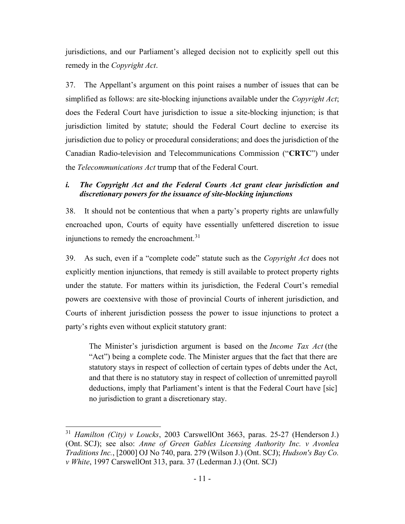jurisdictions, and our Parliament's alleged decision not to explicitly spell out this remedy in the Copyright Act.

37. The Appellant's argument on this point raises a number of issues that can be simplified as follows: are site-blocking injunctions available under the *Copyright Act*; does the Federal Court have jurisdiction to issue a site-blocking injunction; is that jurisdiction limited by statute; should the Federal Court decline to exercise its jurisdiction due to policy or procedural considerations; and does the jurisdiction of the Canadian Radio-television and Telecommunications Commission ("CRTC") under the Telecommunications Act trump that of the Federal Court.

# i. The Copyright Act and the Federal Courts Act grant clear jurisdiction and discretionary powers for the issuance of site-blocking injunctions

38. It should not be contentious that when a party's property rights are unlawfully encroached upon, Courts of equity have essentially unfettered discretion to issue injunctions to remedy the encroachment.<sup>31</sup>

39. As such, even if a "complete code" statute such as the Copyright Act does not explicitly mention injunctions, that remedy is still available to protect property rights under the statute. For matters within its jurisdiction, the Federal Court's remedial powers are coextensive with those of provincial Courts of inherent jurisdiction, and Courts of inherent jurisdiction possess the power to issue injunctions to protect a party's rights even without explicit statutory grant:

The Minister's jurisdiction argument is based on the *Income Tax Act* (the "Act") being a complete code. The Minister argues that the fact that there are statutory stays in respect of collection of certain types of debts under the Act, and that there is no statutory stay in respect of collection of unremitted payroll deductions, imply that Parliament's intent is that the Federal Court have [sic] no jurisdiction to grant a discretionary stay.

 $31$  Hamilton (City) v Loucks, 2003 CarswellOnt 3663, paras. 25-27 (Henderson J.) (Ont. SCJ); see also: Anne of Green Gables Licensing Authority Inc. v Avonlea Traditions Inc., [2000] OJ No 740, para. 279 (Wilson J.) (Ont. SCJ); Hudson's Bay Co. v White, 1997 CarswellOnt 313, para. 37 (Lederman J.) (Ont. SCJ)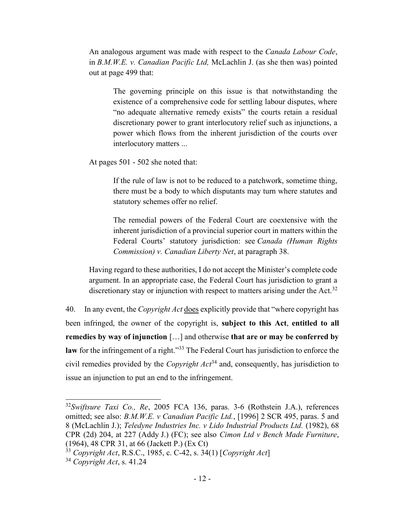An analogous argument was made with respect to the *Canada Labour Code*, in B.M.W.E. v. Canadian Pacific Ltd, McLachlin J. (as she then was) pointed out at page 499 that:

The governing principle on this issue is that notwithstanding the existence of a comprehensive code for settling labour disputes, where "no adequate alternative remedy exists" the courts retain a residual discretionary power to grant interlocutory relief such as injunctions, a power which flows from the inherent jurisdiction of the courts over interlocutory matters ...

At pages 501 - 502 she noted that:

If the rule of law is not to be reduced to a patchwork, sometime thing, there must be a body to which disputants may turn where statutes and statutory schemes offer no relief.

The remedial powers of the Federal Court are coextensive with the inherent jurisdiction of a provincial superior court in matters within the Federal Courts' statutory jurisdiction: see Canada (Human Rights Commission) v. Canadian Liberty Net, at paragraph 38.

Having regard to these authorities, I do not accept the Minister's complete code argument. In an appropriate case, the Federal Court has jurisdiction to grant a discretionary stay or injunction with respect to matters arising under the Act.<sup>32</sup>

40. In any event, the *Copyright Act* does explicitly provide that "where copyright has been infringed, the owner of the copyright is, subject to this Act, entitled to all remedies by way of injunction […] and otherwise that are or may be conferred by law for the infringement of a right."<sup>33</sup> The Federal Court has jurisdiction to enforce the civil remedies provided by the *Copyright Act*<sup>34</sup> and, consequently, has jurisdiction to issue an injunction to put an end to the infringement.

 $32$ Swiftsure Taxi Co., Re, 2005 FCA 136, paras. 3-6 (Rothstein J.A.), references omitted; see also: B.M.W.E. v Canadian Pacific Ltd., [1996] 2 SCR 495, paras. 5 and 8 (McLachlin J.); Teledyne Industries Inc. v Lido Industrial Products Ltd. (1982), 68 CPR (2d) 204, at 227 (Addy J.) (FC); see also Cimon Ltd v Bench Made Furniture, (1964), 48 CPR 31, at 66 (Jackett P.) (Ex Ct)

 $33$  Copyright Act, R.S.C., 1985, c. C-42, s. 34(1) [Copyright Act]

 $34$  Copyright Act, s. 41.24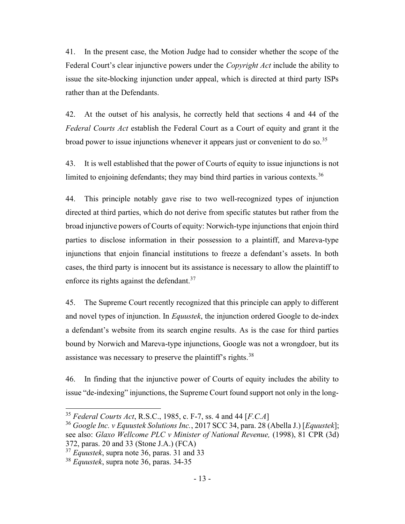41. In the present case, the Motion Judge had to consider whether the scope of the Federal Court's clear injunctive powers under the Copyright Act include the ability to issue the site-blocking injunction under appeal, which is directed at third party ISPs rather than at the Defendants.

42. At the outset of his analysis, he correctly held that sections 4 and 44 of the Federal Courts Act establish the Federal Court as a Court of equity and grant it the broad power to issue injunctions whenever it appears just or convenient to do so.<sup>35</sup>

43. It is well established that the power of Courts of equity to issue injunctions is not limited to enjoining defendants; they may bind third parties in various contexts.<sup>36</sup>

44. This principle notably gave rise to two well-recognized types of injunction directed at third parties, which do not derive from specific statutes but rather from the broad injunctive powers of Courts of equity: Norwich-type injunctions that enjoin third parties to disclose information in their possession to a plaintiff, and Mareva-type injunctions that enjoin financial institutions to freeze a defendant's assets. In both cases, the third party is innocent but its assistance is necessary to allow the plaintiff to enforce its rights against the defendant.<sup>37</sup>

45. The Supreme Court recently recognized that this principle can apply to different and novel types of injunction. In *Equustek*, the injunction ordered Google to de-index a defendant's website from its search engine results. As is the case for third parties bound by Norwich and Mareva-type injunctions, Google was not a wrongdoer, but its assistance was necessary to preserve the plaintiff's rights.<sup>38</sup>

46. In finding that the injunctive power of Courts of equity includes the ability to issue "de-indexing" injunctions, the Supreme Court found support not only in the long-

<sup>&</sup>lt;sup>35</sup> Federal Courts Act, R.S.C., 1985, c. F-7, ss. 4 and 44 [ $F.C.A$ ]

<sup>&</sup>lt;sup>36</sup> Google Inc. *v* Equustek Solutions Inc., 2017 SCC 34, para. 28 (Abella J.) [Equustek]; see also: Glaxo Wellcome PLC v Minister of National Revenue, (1998), 81 CPR (3d) 372, paras. 20 and 33 (Stone J.A.) (FCA)

 $37$  *Equustek*, supra note 36, paras. 31 and 33

 $38$  *Equustek*, supra note 36, paras. 34-35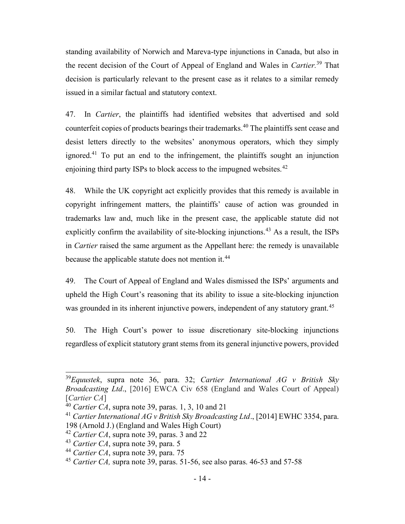standing availability of Norwich and Mareva-type injunctions in Canada, but also in the recent decision of the Court of Appeal of England and Wales in Cartier.<sup>39</sup> That decision is particularly relevant to the present case as it relates to a similar remedy issued in a similar factual and statutory context.

47. In Cartier, the plaintiffs had identified websites that advertised and sold counterfeit copies of products bearings their trademarks.<sup>40</sup> The plaintiffs sent cease and desist letters directly to the websites' anonymous operators, which they simply ignored.<sup>41</sup> To put an end to the infringement, the plaintiffs sought an injunction enjoining third party ISPs to block access to the impugned websites.<sup>42</sup>

48. While the UK copyright act explicitly provides that this remedy is available in copyright infringement matters, the plaintiffs' cause of action was grounded in trademarks law and, much like in the present case, the applicable statute did not explicitly confirm the availability of site-blocking injunctions.<sup>43</sup> As a result, the ISPs in Cartier raised the same argument as the Appellant here: the remedy is unavailable because the applicable statute does not mention it.<sup>44</sup>

49. The Court of Appeal of England and Wales dismissed the ISPs' arguments and upheld the High Court's reasoning that its ability to issue a site-blocking injunction was grounded in its inherent injunctive powers, independent of any statutory grant.<sup>45</sup>

50. The High Court's power to issue discretionary site-blocking injunctions regardless of explicit statutory grant stems from its general injunctive powers, provided

 $39$ Equustek, supra note 36, para. 32; Cartier International AG v British Sky Broadcasting Ltd., [2016] EWCA Civ 658 (England and Wales Court of Appeal) [Cartier CA]

<sup>&</sup>lt;sup>40</sup> Cartier CA, supra note 39, paras. 1, 3, 10 and 21

<sup>&</sup>lt;sup>41</sup> Cartier International AG v British Sky Broadcasting Ltd., [2014] EWHC 3354, para. 198 (Arnold J.) (England and Wales High Court)

 $42$  Cartier CA, supra note 39, paras. 3 and 22

 $43$  Cartier CA, supra note 39, para. 5

 $44$  Cartier CA, supra note 39, para. 75

<sup>&</sup>lt;sup>45</sup> Cartier CA, supra note 39, paras. 51-56, see also paras. 46-53 and 57-58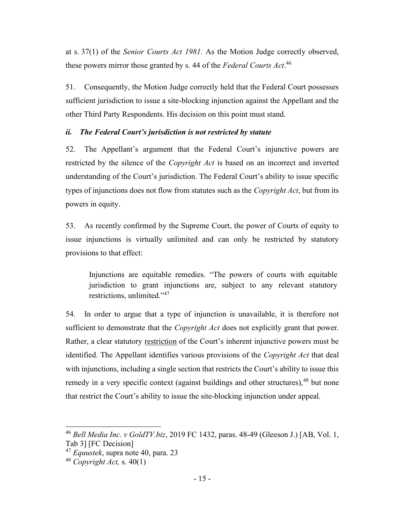at s. 37(1) of the Senior Courts Act 1981. As the Motion Judge correctly observed, these powers mirror those granted by s. 44 of the Federal Courts Act.<sup>46</sup>

51. Consequently, the Motion Judge correctly held that the Federal Court possesses sufficient jurisdiction to issue a site-blocking injunction against the Appellant and the other Third Party Respondents. His decision on this point must stand.

### ii. The Federal Court's jurisdiction is not restricted by statute

52. The Appellant's argument that the Federal Court's injunctive powers are restricted by the silence of the Copyright Act is based on an incorrect and inverted understanding of the Court's jurisdiction. The Federal Court's ability to issue specific types of injunctions does not flow from statutes such as the *Copyright Act*, but from its powers in equity.

53. As recently confirmed by the Supreme Court, the power of Courts of equity to issue injunctions is virtually unlimited and can only be restricted by statutory provisions to that effect:

Injunctions are equitable remedies. "The powers of courts with equitable jurisdiction to grant injunctions are, subject to any relevant statutory restrictions, unlimited."<sup>47</sup>

54. In order to argue that a type of injunction is unavailable, it is therefore not sufficient to demonstrate that the *Copyright Act* does not explicitly grant that power. Rather, a clear statutory restriction of the Court's inherent injunctive powers must be identified. The Appellant identifies various provisions of the *Copyright Act* that deal with injunctions, including a single section that restricts the Court's ability to issue this remedy in a very specific context (against buildings and other structures), <sup>48</sup> but none that restrict the Court's ability to issue the site-blocking injunction under appeal.

<sup>&</sup>lt;sup>46</sup> Bell Media Inc. v GoldTV.biz, 2019 FC 1432, paras. 48-49 (Gleeson J.) [AB, Vol. 1, Tab 3] [FC Decision]

 $47$  Equustek, supra note 40, para. 23

<sup>&</sup>lt;sup>48</sup> Copyright Act, s.  $40(1)$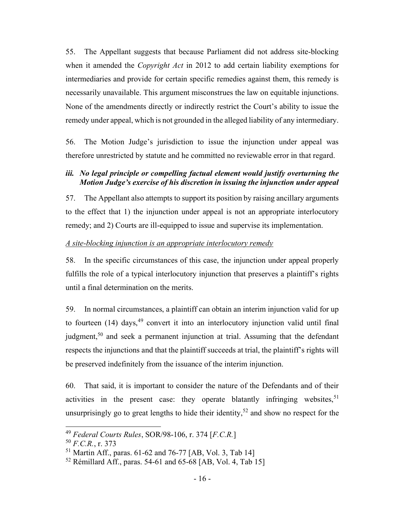55. The Appellant suggests that because Parliament did not address site-blocking when it amended the *Copyright Act* in 2012 to add certain liability exemptions for intermediaries and provide for certain specific remedies against them, this remedy is necessarily unavailable. This argument misconstrues the law on equitable injunctions. None of the amendments directly or indirectly restrict the Court's ability to issue the remedy under appeal, which is not grounded in the alleged liability of any intermediary.

56. The Motion Judge's jurisdiction to issue the injunction under appeal was therefore unrestricted by statute and he committed no reviewable error in that regard.

### iii. No legal principle or compelling factual element would justify overturning the Motion Judge's exercise of his discretion in issuing the injunction under appeal

57. The Appellant also attempts to support its position by raising ancillary arguments to the effect that 1) the injunction under appeal is not an appropriate interlocutory remedy; and 2) Courts are ill-equipped to issue and supervise its implementation.

### A site-blocking injunction is an appropriate interlocutory remedy

58. In the specific circumstances of this case, the injunction under appeal properly fulfills the role of a typical interlocutory injunction that preserves a plaintiff's rights until a final determination on the merits.

59. In normal circumstances, a plaintiff can obtain an interim injunction valid for up to fourteen  $(14)$  days,<sup>49</sup> convert it into an interlocutory injunction valid until final judgment,<sup>50</sup> and seek a permanent injunction at trial. Assuming that the defendant respects the injunctions and that the plaintiff succeeds at trial, the plaintiff's rights will be preserved indefinitely from the issuance of the interim injunction.

60. That said, it is important to consider the nature of the Defendants and of their activities in the present case: they operate blatantly infringing websites,  $51$ unsurprisingly go to great lengths to hide their identity,<sup>52</sup> and show no respect for the

<sup>49</sup> Federal Courts Rules, SOR/98-106, r. 374 [F.C.R.]

 $50 F.C.R., r. 373$ 

 $51$  Martin Aff., paras. 61-62 and 76-77 [AB, Vol. 3, Tab 14]

<sup>52</sup> Rémillard Aff., paras. 54-61 and 65-68 [AB, Vol. 4, Tab 15]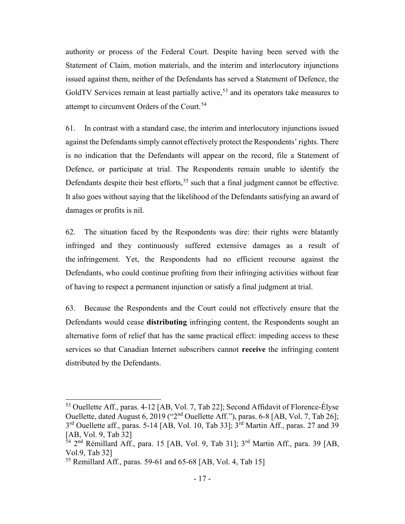authority or process of the Federal Court. Despite having been served with the Statement of Claim, motion materials, and the interim and interlocutory injunctions issued against them, neither of the Defendants has served a Statement of Defence, the GoldTV Services remain at least partially active,<sup>53</sup> and its operators take measures to attempt to circumvent Orders of the Court.<sup>54</sup>

61. In contrast with a standard case, the interim and interlocutory injunctions issued against the Defendants simply cannot effectively protect the Respondents' rights. There is no indication that the Defendants will appear on the record, file a Statement of Defence, or participate at trial. The Respondents remain unable to identify the Defendants despite their best efforts,  $55$  such that a final judgment cannot be effective. It also goes without saying that the likelihood of the Defendants satisfying an award of damages or profits is nil.

62. The situation faced by the Respondents was dire: their rights were blatantly infringed and they continuously suffered extensive damages as a result of the infringement. Yet, the Respondents had no efficient recourse against the Defendants, who could continue profiting from their infringing activities without fear of having to respect a permanent injunction or satisfy a final judgment at trial.

63. Because the Respondents and the Court could not effectively ensure that the Defendants would cease distributing infringing content, the Respondents sought an alternative form of relief that has the same practical effect: impeding access to these services so that Canadian Internet subscribers cannot receive the infringing content distributed by the Defendants.

<sup>53</sup> Ouellette Aff., paras. 4-12 [AB, Vol. 7, Tab 22]; Second Affidavit of Florence-Élyse Ouellette, dated August 6, 2019 ("2nd Ouellette Aff."), paras. 6-8 [AB, Vol. 7, Tab 26]; 3<sup>rd</sup> Ouellette aff., paras. 5-14 [AB, Vol. 10, Tab 33]; 3<sup>rd</sup> Martin Aff., paras. 27 and 39 [AB, Vol. 9, Tab 32]

 $_{54}^{54}$  2<sup>nd</sup> Rémillard Aff., para. 15 [AB, Vol. 9, Tab 31]; 3<sup>rd</sup> Martin Aff., para. 39 [AB, Vol.9, Tab 32]

<sup>&</sup>lt;sup>55</sup> Remillard Aff., paras. 59-61 and 65-68 [AB, Vol. 4, Tab 15]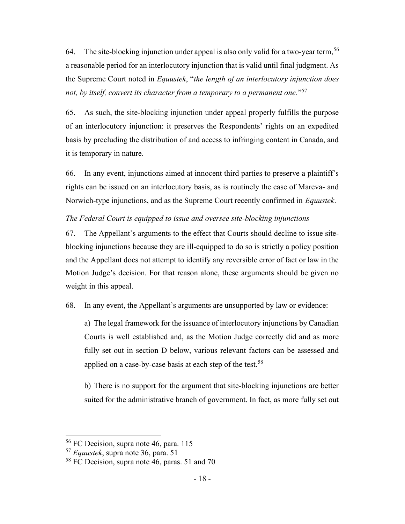64. The site-blocking injunction under appeal is also only valid for a two-year term,  $56$ a reasonable period for an interlocutory injunction that is valid until final judgment. As the Supreme Court noted in Equustek, "the length of an interlocutory injunction does not, by itself, convert its character from a temporary to a permanent one."<sup>57</sup>

65. As such, the site-blocking injunction under appeal properly fulfills the purpose of an interlocutory injunction: it preserves the Respondents' rights on an expedited basis by precluding the distribution of and access to infringing content in Canada, and it is temporary in nature.

66. In any event, injunctions aimed at innocent third parties to preserve a plaintiff's rights can be issued on an interlocutory basis, as is routinely the case of Mareva- and Norwich-type injunctions, and as the Supreme Court recently confirmed in Equustek.

### The Federal Court is equipped to issue and oversee site-blocking injunctions

67. The Appellant's arguments to the effect that Courts should decline to issue siteblocking injunctions because they are ill-equipped to do so is strictly a policy position and the Appellant does not attempt to identify any reversible error of fact or law in the Motion Judge's decision. For that reason alone, these arguments should be given no weight in this appeal.

68. In any event, the Appellant's arguments are unsupported by law or evidence:

a) The legal framework for the issuance of interlocutory injunctions by Canadian Courts is well established and, as the Motion Judge correctly did and as more fully set out in section D below, various relevant factors can be assessed and applied on a case-by-case basis at each step of the test.<sup>58</sup>

b) There is no support for the argument that site-blocking injunctions are better suited for the administrative branch of government. In fact, as more fully set out

<sup>56</sup> FC Decision, supra note 46, para. 115

<sup>57</sup> Equustek, supra note 36, para. 51

<sup>58</sup> FC Decision, supra note 46, paras. 51 and 70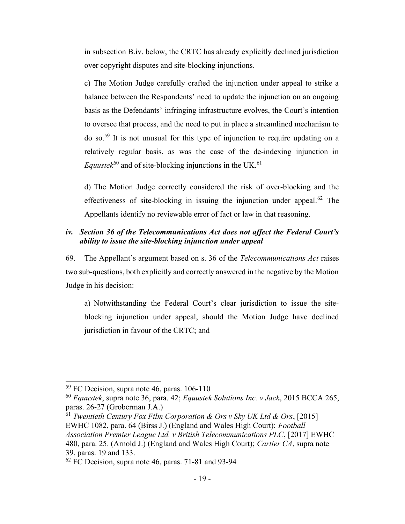in subsection B.iv. below, the CRTC has already explicitly declined jurisdiction over copyright disputes and site-blocking injunctions.

c) The Motion Judge carefully crafted the injunction under appeal to strike a balance between the Respondents' need to update the injunction on an ongoing basis as the Defendants' infringing infrastructure evolves, the Court's intention to oversee that process, and the need to put in place a streamlined mechanism to do so.<sup>59</sup> It is not unusual for this type of injunction to require updating on a relatively regular basis, as was the case of the de-indexing injunction in Equustek<sup>60</sup> and of site-blocking injunctions in the UK.<sup>61</sup>

d) The Motion Judge correctly considered the risk of over-blocking and the effectiveness of site-blocking in issuing the injunction under appeal.<sup>62</sup> The Appellants identify no reviewable error of fact or law in that reasoning.

# iv. Section 36 of the Telecommunications Act does not affect the Federal Court's ability to issue the site-blocking injunction under appeal

69. The Appellant's argument based on s. 36 of the Telecommunications Act raises two sub-questions, both explicitly and correctly answered in the negative by the Motion Judge in his decision:

a) Notwithstanding the Federal Court's clear jurisdiction to issue the siteblocking injunction under appeal, should the Motion Judge have declined jurisdiction in favour of the CRTC; and

<sup>59</sup> FC Decision, supra note 46, paras. 106-110

 $^{60}$  Equustek, supra note 36, para. 42; Equustek Solutions Inc. v Jack, 2015 BCCA 265, paras. 26-27 (Groberman J.A.)

 $\frac{61}{61}$  Twentieth Century Fox Film Corporation & Ors v Sky UK Ltd & Ors, [2015] EWHC 1082, para. 64 (Birss J.) (England and Wales High Court); Football Association Premier League Ltd. v British Telecommunications PLC, [2017] EWHC 480, para. 25. (Arnold J.) (England and Wales High Court); Cartier CA, supra note 39, paras. 19 and 133.

 $62$  FC Decision, supra note 46, paras. 71-81 and 93-94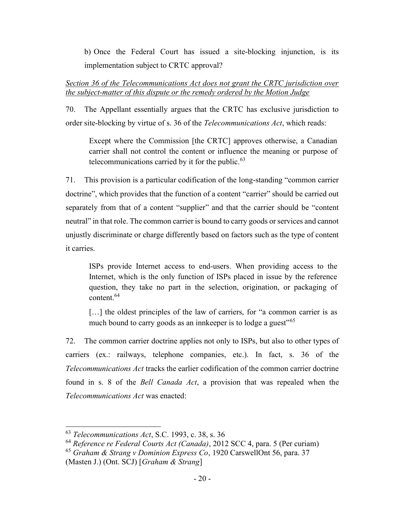b) Once the Federal Court has issued a site-blocking injunction, is its implementation subject to CRTC approval?

# Section 36 of the Telecommunications Act does not grant the CRTC jurisdiction over the subject-matter of this dispute or the remedy ordered by the Motion Judge

70. The Appellant essentially argues that the CRTC has exclusive jurisdiction to order site-blocking by virtue of s. 36 of the Telecommunications Act, which reads:

Except where the Commission [the CRTC] approves otherwise, a Canadian carrier shall not control the content or influence the meaning or purpose of telecommunications carried by it for the public. $63$ 

71. This provision is a particular codification of the long-standing "common carrier doctrine", which provides that the function of a content "carrier" should be carried out separately from that of a content "supplier" and that the carrier should be "content neutral" in that role. The common carrier is bound to carry goods or services and cannot unjustly discriminate or charge differently based on factors such as the type of content it carries.

ISPs provide Internet access to end-users. When providing access to the Internet, which is the only function of ISPs placed in issue by the reference question, they take no part in the selection, origination, or packaging of content.<sup>64</sup>

[...] the oldest principles of the law of carriers, for "a common carrier is as much bound to carry goods as an innkeeper is to lodge a guest<sup>"65</sup>

72. The common carrier doctrine applies not only to ISPs, but also to other types of carriers (ex.: railways, telephone companies, etc.). In fact, s. 36 of the Telecommunications Act tracks the earlier codification of the common carrier doctrine found in s. 8 of the Bell Canada Act, a provision that was repealed when the Telecommunications Act was enacted:

 $63$  Telecommunications Act, S.C. 1993, c. 38, s. 36

<sup>64</sup> Reference re Federal Courts Act (Canada), 2012 SCC 4, para. 5 (Per curiam)

 $65$  Graham & Strang v Dominion Express Co, 1920 CarswellOnt 56, para. 37 (Masten J.) (Ont. SCJ) [Graham & Strang]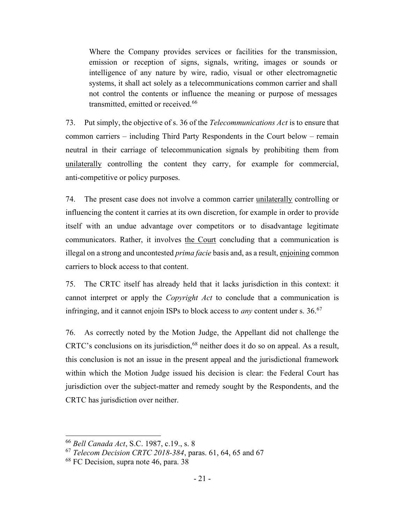Where the Company provides services or facilities for the transmission, emission or reception of signs, signals, writing, images or sounds or intelligence of any nature by wire, radio, visual or other electromagnetic systems, it shall act solely as a telecommunications common carrier and shall not control the contents or influence the meaning or purpose of messages transmitted, emitted or received.<sup>66</sup>

73. Put simply, the objective of s. 36 of the Telecommunications Act is to ensure that common carriers – including Third Party Respondents in the Court below – remain neutral in their carriage of telecommunication signals by prohibiting them from unilaterally controlling the content they carry, for example for commercial, anti-competitive or policy purposes.

74. The present case does not involve a common carrier unilaterally controlling or influencing the content it carries at its own discretion, for example in order to provide itself with an undue advantage over competitors or to disadvantage legitimate communicators. Rather, it involves the Court concluding that a communication is illegal on a strong and uncontested prima facie basis and, as a result, enjoining common carriers to block access to that content.

75. The CRTC itself has already held that it lacks jurisdiction in this context: it cannot interpret or apply the Copyright Act to conclude that a communication is infringing, and it cannot enjoin ISPs to block access to *any* content under s.  $36.67$ 

76. As correctly noted by the Motion Judge, the Appellant did not challenge the CRTC's conclusions on its jurisdiction,<sup>68</sup> neither does it do so on appeal. As a result, this conclusion is not an issue in the present appeal and the jurisdictional framework within which the Motion Judge issued his decision is clear: the Federal Court has jurisdiction over the subject-matter and remedy sought by the Respondents, and the CRTC has jurisdiction over neither.

<sup>66</sup> Bell Canada Act, S.C. 1987, c.19., s. 8

 $67$  Telecom Decision CRTC 2018-384, paras. 61, 64, 65 and 67

<sup>68</sup> FC Decision, supra note 46, para. 38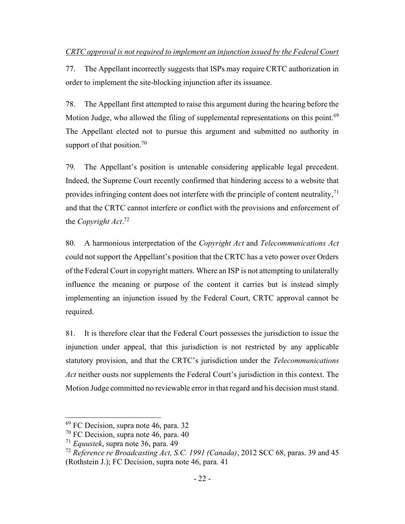77. The Appellant incorrectly suggests that ISPs may require CRTC authorization in order to implement the site-blocking injunction after its issuance.

78. The Appellant first attempted to raise this argument during the hearing before the Motion Judge, who allowed the filing of supplemental representations on this point.<sup>69</sup> The Appellant elected not to pursue this argument and submitted no authority in support of that position.<sup>70</sup>

79. The Appellant's position is untenable considering applicable legal precedent. Indeed, the Supreme Court recently confirmed that hindering access to a website that provides infringing content does not interfere with the principle of content neutrality, $\gamma$ <sup>1</sup> and that the CRTC cannot interfere or conflict with the provisions and enforcement of the *Copyright Act*.<sup>72</sup>

80. A harmonious interpretation of the Copyright Act and Telecommunications Act could not support the Appellant's position that the CRTC has a veto power over Orders of the Federal Court in copyright matters. Where an ISP is not attempting to unilaterally influence the meaning or purpose of the content it carries but is instead simply implementing an injunction issued by the Federal Court, CRTC approval cannot be required.

81. It is therefore clear that the Federal Court possesses the jurisdiction to issue the injunction under appeal, that this jurisdiction is not restricted by any applicable statutory provision, and that the CRTC's jurisdiction under the Telecommunications Act neither ousts nor supplements the Federal Court's jurisdiction in this context. The Motion Judge committed no reviewable error in that regard and his decision must stand.

<sup>69</sup> FC Decision, supra note 46, para. 32

<sup>70</sup> FC Decision, supra note 46, para. 40

 $171$  *Equustek*, supra note 36, para. 49

<sup>&</sup>lt;sup>72</sup> Reference re Broadcasting Act, S.C. 1991 (Canada), 2012 SCC 68, paras. 39 and 45 (Rothstein J.); FC Decision, supra note 46, para. 41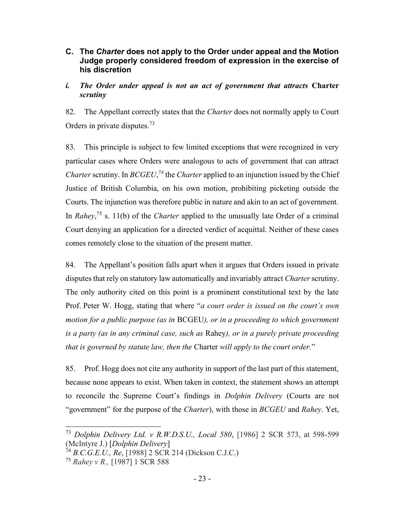# C. The Charter does not apply to the Order under appeal and the Motion Judge properly considered freedom of expression in the exercise of his discretion

# i. The Order under appeal is not an act of government that attracts Charter scrutiny

82. The Appellant correctly states that the *Charter* does not normally apply to Court Orders in private disputes.<sup>73</sup>

83. This principle is subject to few limited exceptions that were recognized in very particular cases where Orders were analogous to acts of government that can attract Charter scrutiny. In  $BCGEU<sub>1</sub><sup>74</sup>$  the Charter applied to an injunction issued by the Chief Justice of British Columbia, on his own motion, prohibiting picketing outside the Courts. The injunction was therefore public in nature and akin to an act of government. In Rahey,<sup>75</sup> s. 11(b) of the *Charter* applied to the unusually late Order of a criminal Court denying an application for a directed verdict of acquittal. Neither of these cases comes remotely close to the situation of the present matter.

84. The Appellant's position falls apart when it argues that Orders issued in private disputes that rely on statutory law automatically and invariably attract *Charter* scrutiny. The only authority cited on this point is a prominent constitutional text by the late Prof. Peter W. Hogg, stating that where "a court order is issued on the court's own motion for a public purpose (as in BCGEU), or in a proceeding to which government is a party (as in any criminal case, such as Rahey), or in a purely private proceeding that is governed by statute law, then the Charter will apply to the court order."

85. Prof. Hogg does not cite any authority in support of the last part of this statement, because none appears to exist. When taken in context, the statement shows an attempt to reconcile the Supreme Court's findings in Dolphin Delivery (Courts are not "government" for the purpose of the *Charter*), with those in *BCGEU* and *Rahey*. Yet,

<sup>&</sup>lt;sup>73</sup> Dolphin Delivery Ltd. v R.W.D.S.U., Local 580, [1986] 2 SCR 573, at 598-599 (McIntyre J.) [Dolphin Delivery]

 $74 B.C.G.E.U., Re, [1988] 2 SCR 214 (Dickson C.J.C.)$ 

<sup>75</sup> Rahey v R., [1987] 1 SCR 588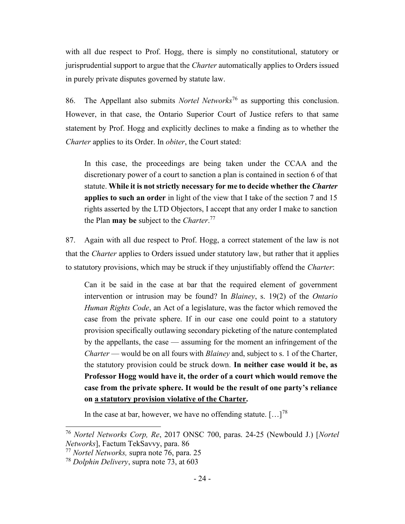with all due respect to Prof. Hogg, there is simply no constitutional, statutory or jurisprudential support to argue that the *Charter* automatically applies to Orders issued in purely private disputes governed by statute law.

86. The Appellant also submits *Nortel Networks*<sup>76</sup> as supporting this conclusion. However, in that case, the Ontario Superior Court of Justice refers to that same statement by Prof. Hogg and explicitly declines to make a finding as to whether the Charter applies to its Order. In obiter, the Court stated:

In this case, the proceedings are being taken under the CCAA and the discretionary power of a court to sanction a plan is contained in section 6 of that statute. While it is not strictly necessary for me to decide whether the Charter applies to such an order in light of the view that I take of the section 7 and 15 rights asserted by the LTD Objectors, I accept that any order I make to sanction the Plan **may be** subject to the *Charter*.<sup>77</sup>

87. Again with all due respect to Prof. Hogg, a correct statement of the law is not that the Charter applies to Orders issued under statutory law, but rather that it applies to statutory provisions, which may be struck if they unjustifiably offend the Charter:

Can it be said in the case at bar that the required element of government intervention or intrusion may be found? In Blainey, s. 19(2) of the Ontario Human Rights Code, an Act of a legislature, was the factor which removed the case from the private sphere. If in our case one could point to a statutory provision specifically outlawing secondary picketing of the nature contemplated by the appellants, the case — assuming for the moment an infringement of the Charter — would be on all fours with *Blainey* and, subject to s. 1 of the Charter, the statutory provision could be struck down. In neither case would it be, as Professor Hogg would have it, the order of a court which would remove the case from the private sphere. It would be the result of one party's reliance on a statutory provision violative of the Charter.

In the case at bar, however, we have no offending statute.  $[\dots]^{78}$ 

<sup>76</sup> Nortel Networks Corp, Re, 2017 ONSC 700, paras. 24-25 (Newbould J.) [Nortel Networks], Factum TekSavvy, para. 86

 $^{77}$  Nortel Networks, supra note 76, para. 25

 $78$  Dolphin Delivery, supra note 73, at 603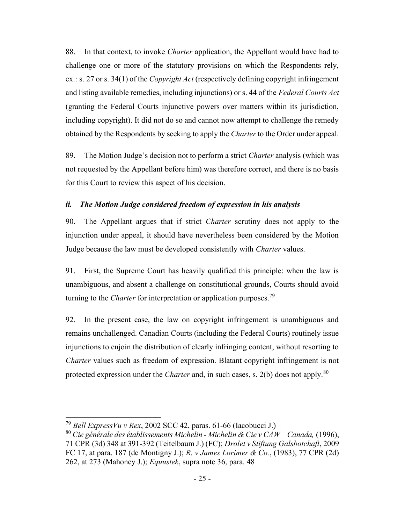88. In that context, to invoke Charter application, the Appellant would have had to challenge one or more of the statutory provisions on which the Respondents rely, ex.: s. 27 or s. 34(1) of the *Copyright Act* (respectively defining copyright infringement and listing available remedies, including injunctions) or s. 44 of the Federal Courts Act (granting the Federal Courts injunctive powers over matters within its jurisdiction, including copyright). It did not do so and cannot now attempt to challenge the remedy obtained by the Respondents by seeking to apply the Charter to the Order under appeal.

89. The Motion Judge's decision not to perform a strict Charter analysis (which was not requested by the Appellant before him) was therefore correct, and there is no basis for this Court to review this aspect of his decision.

### ii. The Motion Judge considered freedom of expression in his analysis

90. The Appellant argues that if strict Charter scrutiny does not apply to the injunction under appeal, it should have nevertheless been considered by the Motion Judge because the law must be developed consistently with Charter values.

91. First, the Supreme Court has heavily qualified this principle: when the law is unambiguous, and absent a challenge on constitutional grounds, Courts should avoid turning to the *Charter* for interpretation or application purposes.<sup>79</sup>

92. In the present case, the law on copyright infringement is unambiguous and remains unchallenged. Canadian Courts (including the Federal Courts) routinely issue injunctions to enjoin the distribution of clearly infringing content, without resorting to Charter values such as freedom of expression. Blatant copyright infringement is not protected expression under the *Charter* and, in such cases, s.  $2(b)$  does not apply.<sup>80</sup>

 $^{79}$  Bell Express Vu v Rex, 2002 SCC 42, paras. 61-66 (Iacobucci J.)

<sup>&</sup>lt;sup>80</sup> Cie générale des établissements Michelin - Michelin & Cie v CAW – Canada, (1996), 71 CPR (3d) 348 at 391-392 (Teitelbaum J.) (FC); Drolet v Stiftung Galsbotchaft, 2009 FC 17, at para. 187 (de Montigny J.); R. v James Lorimer & Co., (1983), 77 CPR (2d) 262, at 273 (Mahoney J.); Equustek, supra note 36, para. 48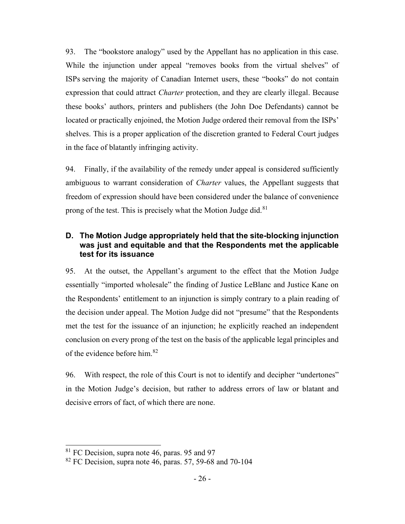93. The "bookstore analogy" used by the Appellant has no application in this case. While the injunction under appeal "removes books from the virtual shelves" of ISPs serving the majority of Canadian Internet users, these "books" do not contain expression that could attract *Charter* protection, and they are clearly illegal. Because these books' authors, printers and publishers (the John Doe Defendants) cannot be located or practically enjoined, the Motion Judge ordered their removal from the ISPs' shelves. This is a proper application of the discretion granted to Federal Court judges in the face of blatantly infringing activity.

94. Finally, if the availability of the remedy under appeal is considered sufficiently ambiguous to warrant consideration of Charter values, the Appellant suggests that freedom of expression should have been considered under the balance of convenience prong of the test. This is precisely what the Motion Judge did. $81$ 

# D. The Motion Judge appropriately held that the site-blocking injunction was just and equitable and that the Respondents met the applicable test for its issuance

95. At the outset, the Appellant's argument to the effect that the Motion Judge essentially "imported wholesale" the finding of Justice LeBlanc and Justice Kane on the Respondents' entitlement to an injunction is simply contrary to a plain reading of the decision under appeal. The Motion Judge did not "presume" that the Respondents met the test for the issuance of an injunction; he explicitly reached an independent conclusion on every prong of the test on the basis of the applicable legal principles and of the evidence before him.<sup>82</sup>

96. With respect, the role of this Court is not to identify and decipher "undertones" in the Motion Judge's decision, but rather to address errors of law or blatant and decisive errors of fact, of which there are none.

<sup>&</sup>lt;sup>81</sup> FC Decision, supra note 46, paras. 95 and 97

 $82$  FC Decision, supra note 46, paras. 57, 59-68 and 70-104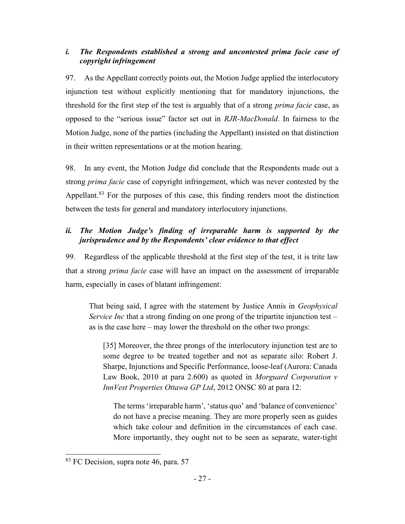# i. The Respondents established a strong and uncontested prima facie case of copyright infringement

97. As the Appellant correctly points out, the Motion Judge applied the interlocutory injunction test without explicitly mentioning that for mandatory injunctions, the threshold for the first step of the test is arguably that of a strong prima facie case, as opposed to the "serious issue" factor set out in RJR-MacDonald. In fairness to the Motion Judge, none of the parties (including the Appellant) insisted on that distinction in their written representations or at the motion hearing.

98. In any event, the Motion Judge did conclude that the Respondents made out a strong prima facie case of copyright infringement, which was never contested by the Appellant.<sup>83</sup> For the purposes of this case, this finding renders moot the distinction between the tests for general and mandatory interlocutory injunctions.

# ii. The Motion Judge's finding of irreparable harm is supported by the jurisprudence and by the Respondents' clear evidence to that effect

99. Regardless of the applicable threshold at the first step of the test, it is trite law that a strong prima facie case will have an impact on the assessment of irreparable harm, especially in cases of blatant infringement:

That being said, I agree with the statement by Justice Annis in Geophysical Service Inc that a strong finding on one prong of the tripartite injunction test  $$ as is the case here – may lower the threshold on the other two prongs:

[35] Moreover, the three prongs of the interlocutory injunction test are to some degree to be treated together and not as separate silo: Robert J. Sharpe, Injunctions and Specific Performance, loose-leaf (Aurora: Canada Law Book, 2010 at para 2.600) as quoted in *Morguard Corporation* v InnVest Properties Ottawa GP Ltd, 2012 ONSC 80 at para 12:

The terms 'irreparable harm', 'status quo' and 'balance of convenience' do not have a precise meaning. They are more properly seen as guides which take colour and definition in the circumstances of each case. More importantly, they ought not to be seen as separate, water-tight

<sup>&</sup>lt;sup>83</sup> FC Decision, supra note 46, para. 57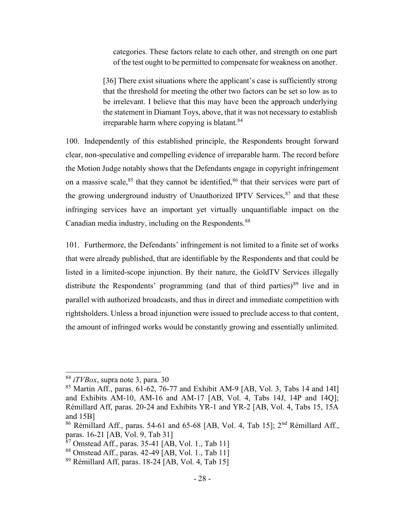categories. These factors relate to each other, and strength on one part of the test ought to be permitted to compensate for weakness on another.

[36] There exist situations where the applicant's case is sufficiently strong that the threshold for meeting the other two factors can be set so low as to be irrelevant. I believe that this may have been the approach underlying the statement in Diamant Toys, above, that it was not necessary to establish irreparable harm where copying is blatant.  $84$ 

100. Independently of this established principle, the Respondents brought forward clear, non-speculative and compelling evidence of irreparable harm. The record before the Motion Judge notably shows that the Defendants engage in copyright infringement on a massive scale, $85$  that they cannot be identified, $86$  that their services were part of the growing underground industry of Unauthorized IPTV Services,  $87$  and that these infringing services have an important yet virtually unquantifiable impact on the Canadian media industry, including on the Respondents.<sup>88</sup>

101. Furthermore, the Defendants' infringement is not limited to a finite set of works that were already published, that are identifiable by the Respondents and that could be listed in a limited-scope injunction. By their nature, the GoldTV Services illegally distribute the Respondents' programming (and that of third parties)<sup>89</sup> live and in parallel with authorized broadcasts, and thus in direct and immediate competition with rightsholders. Unless a broad injunction were issued to preclude access to that content, the amount of infringed works would be constantly growing and essentially unlimited.

 $84$  *iTVBox*, supra note 3, para. 30

 $85$  Martin Aff., paras. 61-62, 76-77 and Exhibit AM-9 [AB, Vol. 3, Tabs 14 and 14I] and Exhibits AM-10, AM-16 and AM-17 [AB, Vol. 4, Tabs 14J, 14P and 14Q]; Rémillard Aff, paras. 20-24 and Exhibits YR-1 and YR-2 [AB, Vol. 4, Tabs 15, 15A and 15B]

<sup>&</sup>lt;sup>86</sup> Rémillard Aff., paras. 54-61 and 65-68 [AB, Vol. 4, Tab 15]; 2<sup>nd</sup> Rémillard Aff., paras. 16-21 [AB, Vol. 9, Tab 31]

 $87$  Omstead Aff., paras. 35-41 [AB, Vol. 1., Tab 11]

<sup>88</sup> Omstead Aff., paras. 42-49 [AB, Vol. 1., Tab 11]

 $89$  Rémillard Aff, paras. 18-24 [AB, Vol. 4, Tab 15]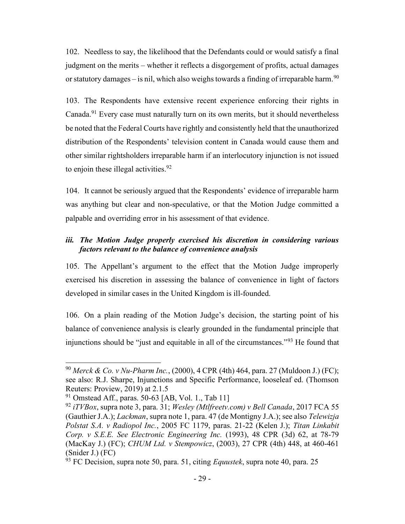102. Needless to say, the likelihood that the Defendants could or would satisfy a final judgment on the merits – whether it reflects a disgorgement of profits, actual damages or statutory damages – is nil, which also weighs towards a finding of irreparable harm.<sup>90</sup>

103. The Respondents have extensive recent experience enforcing their rights in Canada.<sup>91</sup> Every case must naturally turn on its own merits, but it should nevertheless be noted that the Federal Courts have rightly and consistently held that the unauthorized distribution of the Respondents' television content in Canada would cause them and other similar rightsholders irreparable harm if an interlocutory injunction is not issued to enjoin these illegal activities. $92$ 

104. It cannot be seriously argued that the Respondents' evidence of irreparable harm was anything but clear and non-speculative, or that the Motion Judge committed a palpable and overriding error in his assessment of that evidence.

# iii. The Motion Judge properly exercised his discretion in considering various factors relevant to the balance of convenience analysis

105. The Appellant's argument to the effect that the Motion Judge improperly exercised his discretion in assessing the balance of convenience in light of factors developed in similar cases in the United Kingdom is ill-founded.

106. On a plain reading of the Motion Judge's decision, the starting point of his balance of convenience analysis is clearly grounded in the fundamental principle that injunctions should be "just and equitable in all of the circumstances."<sup>93</sup> He found that

<sup>&</sup>lt;sup>90</sup> Merck & Co. v Nu-Pharm Inc., (2000), 4 CPR (4th) 464, para. 27 (Muldoon J.) (FC); see also: R.J. Sharpe, Injunctions and Specific Performance, looseleaf ed. (Thomson Reuters: Proview, 2019) at 2.1.5

 $91$  Omstead Aff., paras. 50-63 [AB, Vol. 1., Tab 11]

 $92$  iTVBox, supra note 3, para. 31; Wesley (Mtlfreetv.com) v Bell Canada, 2017 FCA 55 (Gauthier J.A.); Lackman, supra note 1, para. 47 (de Montigny J.A.); see also Telewizja Polstat S.A. v Radiopol Inc., 2005 FC 1179, paras. 21-22 (Kelen J.); Titan Linkabit Corp. v S.E.E. See Electronic Engineering Inc. (1993), 48 CPR (3d) 62, at 78-79 (MacKay J.) (FC); CHUM Ltd. v Stempowicz, (2003), 27 CPR (4th) 448, at 460-461 (Snider J.) (FC)

 $\frac{6}{93}$  FC Decision, supra note 50, para. 51, citing *Equustek*, supra note 40, para. 25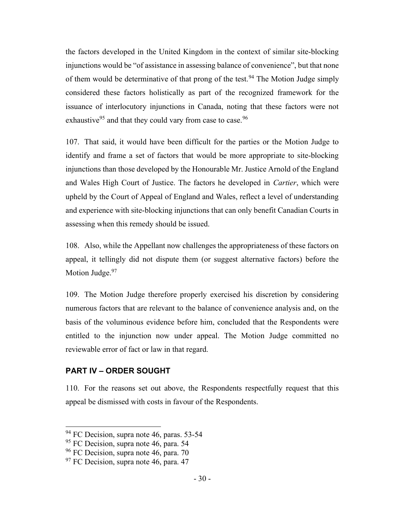the factors developed in the United Kingdom in the context of similar site-blocking injunctions would be "of assistance in assessing balance of convenience", but that none of them would be determinative of that prong of the test.<sup>94</sup> The Motion Judge simply considered these factors holistically as part of the recognized framework for the issuance of interlocutory injunctions in Canada, noting that these factors were not exhaustive<sup>95</sup> and that they could vary from case to case.<sup>96</sup>

107. That said, it would have been difficult for the parties or the Motion Judge to identify and frame a set of factors that would be more appropriate to site-blocking injunctions than those developed by the Honourable Mr. Justice Arnold of the England and Wales High Court of Justice. The factors he developed in Cartier, which were upheld by the Court of Appeal of England and Wales, reflect a level of understanding and experience with site-blocking injunctions that can only benefit Canadian Courts in assessing when this remedy should be issued.

108. Also, while the Appellant now challenges the appropriateness of these factors on appeal, it tellingly did not dispute them (or suggest alternative factors) before the Motion Judge.<sup>97</sup>

109. The Motion Judge therefore properly exercised his discretion by considering numerous factors that are relevant to the balance of convenience analysis and, on the basis of the voluminous evidence before him, concluded that the Respondents were entitled to the injunction now under appeal. The Motion Judge committed no reviewable error of fact or law in that regard.

# PART IV – ORDER SOUGHT

110. For the reasons set out above, the Respondents respectfully request that this appeal be dismissed with costs in favour of the Respondents.

<sup>&</sup>lt;sup>94</sup> FC Decision, supra note 46, paras. 53-54

<sup>&</sup>lt;sup>95</sup> FC Decision, supra note 46, para. 54

 $96$  FC Decision, supra note 46, para. 70

 $97$  FC Decision, supra note 46, para. 47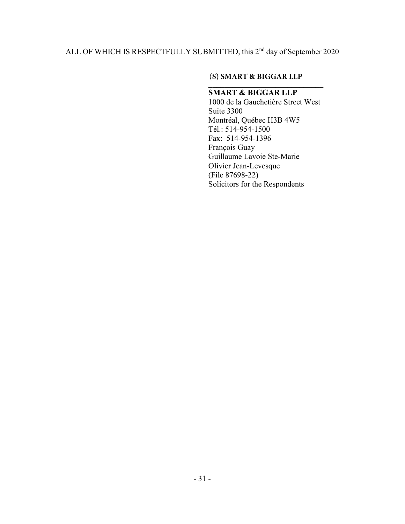# ALL OF WHICH IS RESPECTFULLY SUBMITTED, this 2<sup>nd</sup> day of September 2020

#### $\sum_{i=1}^{n}$ (**S) SMART & BIGGAR LLP**

# SMART & BIGGAR LLP

1000 de la Gauchetière Street West Suite 3300 Montréal, Québec H3B 4W5 Tél.: 514-954-1500 Fax: 514-954-1396 François Guay Guillaume Lavoie Ste-Marie Olivier Jean-Levesque (File 87698-22) Solicitors for the Respondents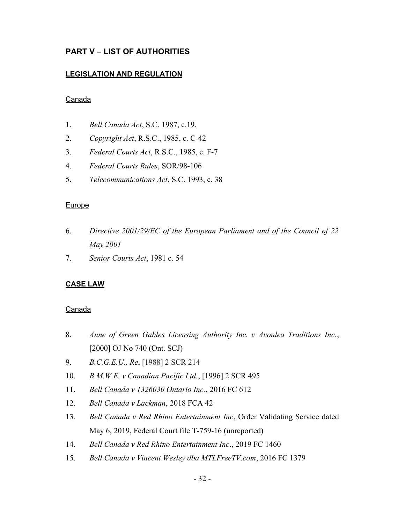# PART V – LIST OF AUTHORITIES

### LEGISLATION AND REGULATION

### **Canada**

- 1. Bell Canada Act, S.C. 1987, c.19.
- 2. Copyright Act, R.S.C., 1985, c. C-42
- 3. Federal Courts Act, R.S.C., 1985, c. F-7
- 4. Federal Courts Rules, SOR/98-106
- 5. Telecommunications Act, S.C. 1993, c. 38

### **Europe**

- 6. Directive 2001/29/EC of the European Parliament and of the Council of 22 May 2001
- 7. Senior Courts Act, 1981 c. 54

# CASE LAW

### **Canada**

- 8. Anne of Green Gables Licensing Authority Inc. v Avonlea Traditions Inc., [2000] OJ No 740 (Ont. SCJ)
- 9. B.C.G.E.U., Re, [1988] 2 SCR 214
- 10. B.M.W.E. v Canadian Pacific Ltd., [1996] 2 SCR 495
- 11. Bell Canada v 1326030 Ontario Inc., 2016 FC 612
- 12. Bell Canada v Lackman, 2018 FCA 42
- 13. Bell Canada v Red Rhino Entertainment Inc, Order Validating Service dated May 6, 2019, Federal Court file T-759-16 (unreported)
- 14. Bell Canada v Red Rhino Entertainment Inc., 2019 FC 1460
- 15. Bell Canada v Vincent Wesley dba MTLFreeTV.com, 2016 FC 1379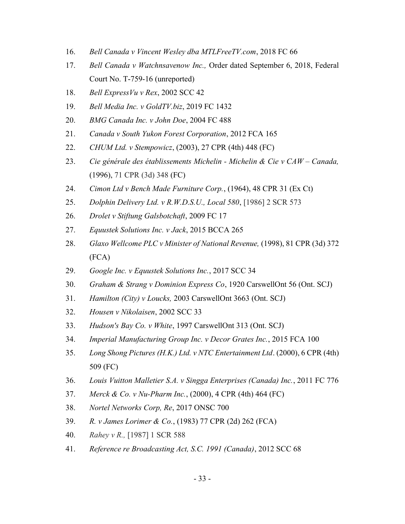- 16. Bell Canada v Vincent Wesley dba MTLFreeTV.com, 2018 FC 66
- 17. Bell Canada v Watchnsavenow Inc., Order dated September 6, 2018, Federal Court No. T-759-16 (unreported)
- 18. Bell Express  $Vu$  v Rex, 2002 SCC 42
- 19. Bell Media Inc. v GoldTV.biz, 2019 FC 1432
- 20. BMG Canada Inc. v John Doe, 2004 FC 488
- 21. Canada v South Yukon Forest Corporation, 2012 FCA 165
- 22. CHUM Ltd. v Stempowicz, (2003), 27 CPR (4th) 448 (FC)
- 23. Cie générale des établissements Michelin Michelin & Cie v CAW Canada, (1996), 71 CPR (3d) 348 (FC)
- 24. Cimon Ltd v Bench Made Furniture Corp., (1964), 48 CPR 31 (Ex Ct)
- 25. Dolphin Delivery Ltd. v R.W.D.S.U., Local 580, [1986] 2 SCR 573
- 26. Drolet v Stiftung Galsbotchaft, 2009 FC 17
- 27. Equustek Solutions Inc. v Jack, 2015 BCCA 265
- 28. Glaxo Wellcome PLC v Minister of National Revenue, (1998), 81 CPR (3d) 372 (FCA)
- 29. Google Inc. v Equustek Solutions Inc., 2017 SCC 34
- 30. Graham & Strang v Dominion Express Co, 1920 CarswellOnt 56 (Ont. SCJ)
- 31. Hamilton (City) v Loucks, 2003 CarswellOnt 3663 (Ont. SCJ)
- 32. Housen v Nikolaisen, 2002 SCC 33
- 33. Hudson's Bay Co. v White, 1997 CarswellOnt 313 (Ont. SCJ)
- 34. Imperial Manufacturing Group Inc. v Decor Grates Inc., 2015 FCA 100
- 35. Long Shong Pictures (H.K.) Ltd. v NTC Entertainment Ltd. (2000), 6 CPR (4th) 509 (FC)
- 36. Louis Vuitton Malletier S.A. v Singga Enterprises (Canada) Inc., 2011 FC 776
- 37. Merck & Co. v Nu-Pharm Inc., (2000), 4 CPR (4th) 464 (FC)
- 38. Nortel Networks Corp, Re, 2017 ONSC 700
- 39. R. v James Lorimer & Co., (1983) 77 CPR (2d) 262 (FCA)
- 40. Rahey v R., [1987] 1 SCR 588
- 41. Reference re Broadcasting Act, S.C. 1991 (Canada), 2012 SCC 68